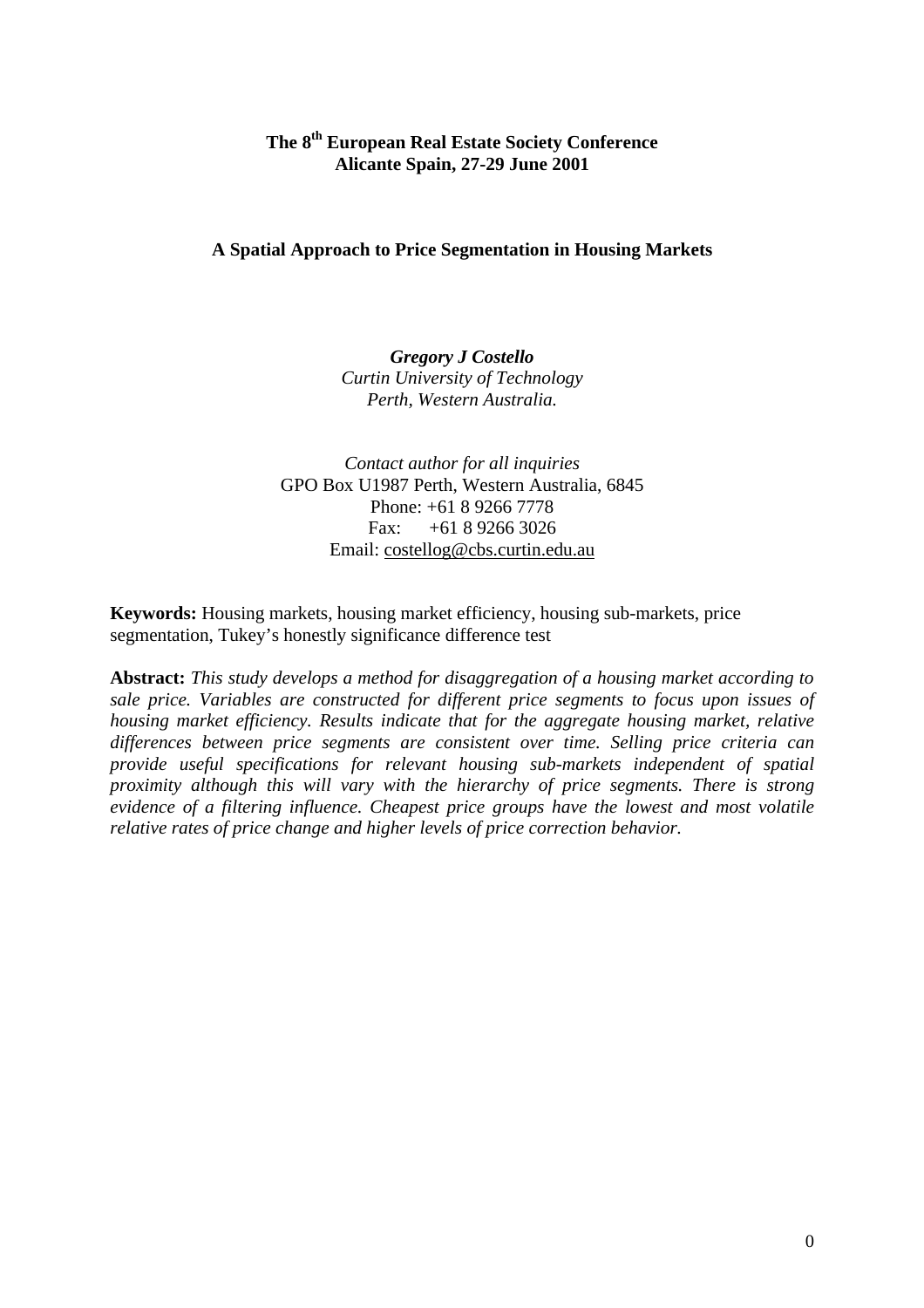# **The 8th European Real Estate Society Conference Alicante Spain, 27-29 June 2001**

# **A Spatial Approach to Price Segmentation in Housing Markets**

*Gregory J Costello Curtin University of Technology Perth, Western Australia.*

*Contact author for all inquiries* GPO Box U1987 Perth, Western Australia, 6845 Phone: +61 8 9266 7778 Fax:  $+61892663026$ Email: costellog@cbs.curtin.edu.au

**Keywords:** Housing markets, housing market efficiency, housing sub-markets, price segmentation, Tukey's honestly significance difference test

**Abstract:** *This study develops a method for disaggregation of a housing market according to sale price. Variables are constructed for different price segments to focus upon issues of housing market efficiency. Results indicate that for the aggregate housing market, relative differences between price segments are consistent over time. Selling price criteria can provide useful specifications for relevant housing sub-markets independent of spatial proximity although this will vary with the hierarchy of price segments. There is strong evidence of a filtering influence. Cheapest price groups have the lowest and most volatile relative rates of price change and higher levels of price correction behavior.*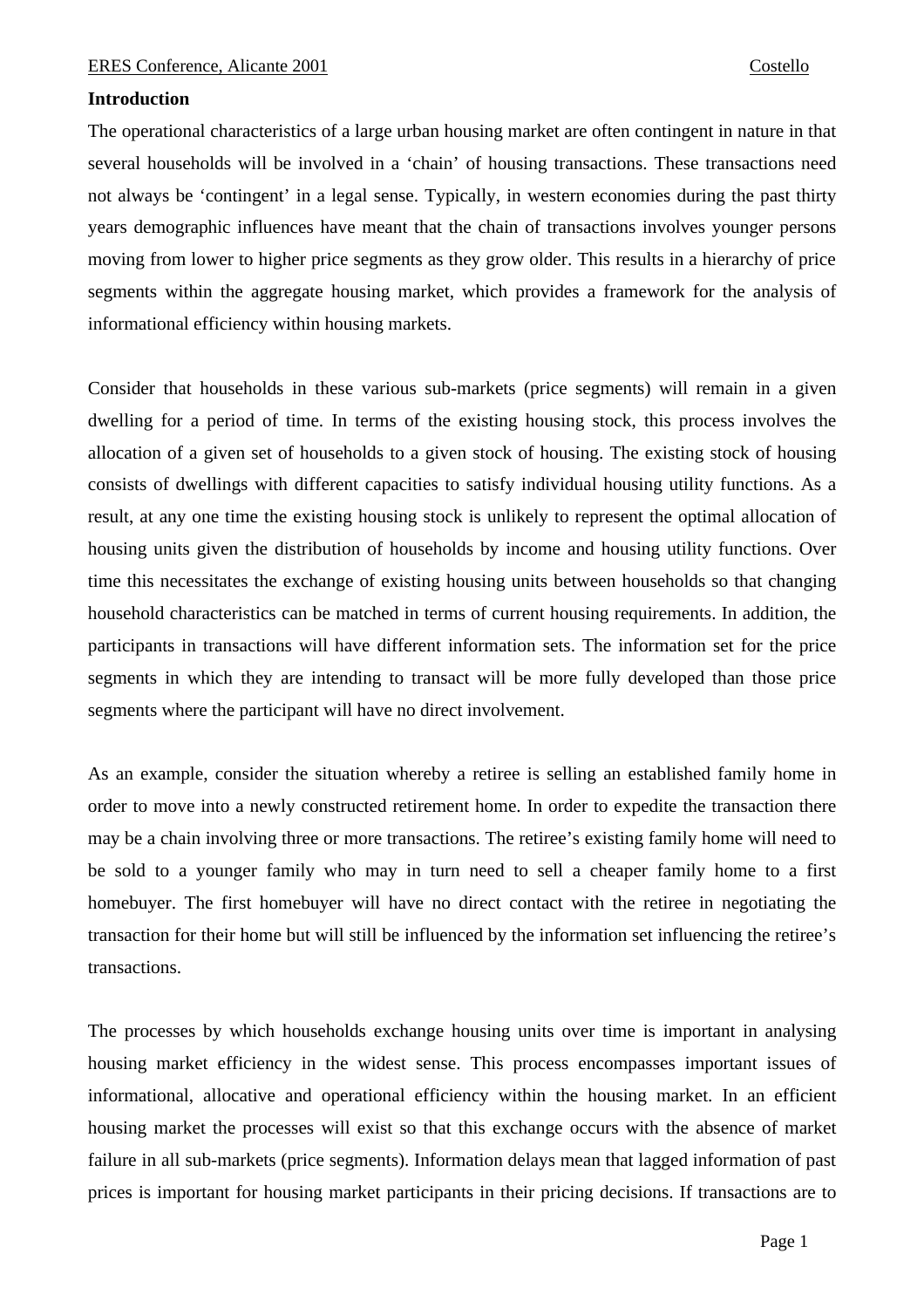# **Introduction**

The operational characteristics of a large urban housing market are often contingent in nature in that several households will be involved in a 'chain' of housing transactions. These transactions need not always be 'contingent' in a legal sense. Typically, in western economies during the past thirty years demographic influences have meant that the chain of transactions involves younger persons moving from lower to higher price segments as they grow older. This results in a hierarchy of price segments within the aggregate housing market, which provides a framework for the analysis of informational efficiency within housing markets.

Consider that households in these various sub-markets (price segments) will remain in a given dwelling for a period of time. In terms of the existing housing stock, this process involves the allocation of a given set of households to a given stock of housing. The existing stock of housing consists of dwellings with different capacities to satisfy individual housing utility functions. As a result, at any one time the existing housing stock is unlikely to represent the optimal allocation of housing units given the distribution of households by income and housing utility functions. Over time this necessitates the exchange of existing housing units between households so that changing household characteristics can be matched in terms of current housing requirements. In addition, the participants in transactions will have different information sets. The information set for the price segments in which they are intending to transact will be more fully developed than those price segments where the participant will have no direct involvement.

As an example, consider the situation whereby a retiree is selling an established family home in order to move into a newly constructed retirement home. In order to expedite the transaction there may be a chain involving three or more transactions. The retiree's existing family home will need to be sold to a younger family who may in turn need to sell a cheaper family home to a first homebuyer. The first homebuyer will have no direct contact with the retiree in negotiating the transaction for their home but will still be influenced by the information set influencing the retiree's transactions.

The processes by which households exchange housing units over time is important in analysing housing market efficiency in the widest sense. This process encompasses important issues of informational, allocative and operational efficiency within the housing market. In an efficient housing market the processes will exist so that this exchange occurs with the absence of market failure in all sub-markets (price segments). Information delays mean that lagged information of past prices is important for housing market participants in their pricing decisions. If transactions are to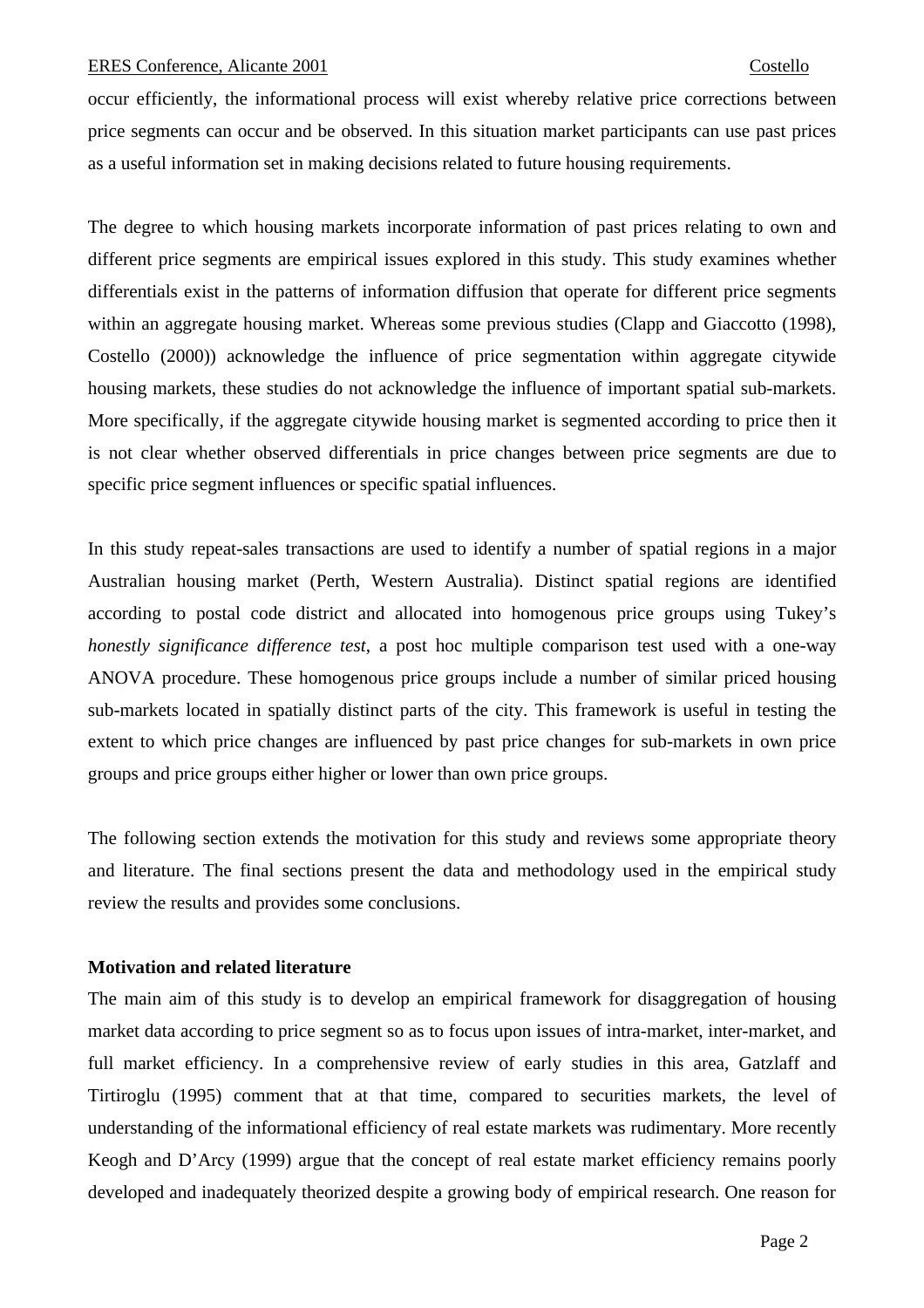occur efficiently, the informational process will exist whereby relative price corrections between price segments can occur and be observed. In this situation market participants can use past prices as a useful information set in making decisions related to future housing requirements.

The degree to which housing markets incorporate information of past prices relating to own and different price segments are empirical issues explored in this study. This study examines whether differentials exist in the patterns of information diffusion that operate for different price segments within an aggregate housing market. Whereas some previous studies (Clapp and Giaccotto (1998), Costello (2000)) acknowledge the influence of price segmentation within aggregate citywide housing markets, these studies do not acknowledge the influence of important spatial sub-markets. More specifically, if the aggregate citywide housing market is segmented according to price then it is not clear whether observed differentials in price changes between price segments are due to specific price segment influences or specific spatial influences.

In this study repeat-sales transactions are used to identify a number of spatial regions in a major Australian housing market (Perth, Western Australia). Distinct spatial regions are identified according to postal code district and allocated into homogenous price groups using Tukey's *honestly significance difference test*, a post hoc multiple comparison test used with a one-way ANOVA procedure. These homogenous price groups include a number of similar priced housing sub-markets located in spatially distinct parts of the city. This framework is useful in testing the extent to which price changes are influenced by past price changes for sub-markets in own price groups and price groups either higher or lower than own price groups.

The following section extends the motivation for this study and reviews some appropriate theory and literature. The final sections present the data and methodology used in the empirical study review the results and provides some conclusions.

# **Motivation and related literature**

The main aim of this study is to develop an empirical framework for disaggregation of housing market data according to price segment so as to focus upon issues of intra-market, inter-market, and full market efficiency. In a comprehensive review of early studies in this area, Gatzlaff and Tirtiroglu (1995) comment that at that time, compared to securities markets, the level of understanding of the informational efficiency of real estate markets was rudimentary. More recently Keogh and D'Arcy (1999) argue that the concept of real estate market efficiency remains poorly developed and inadequately theorized despite a growing body of empirical research. One reason for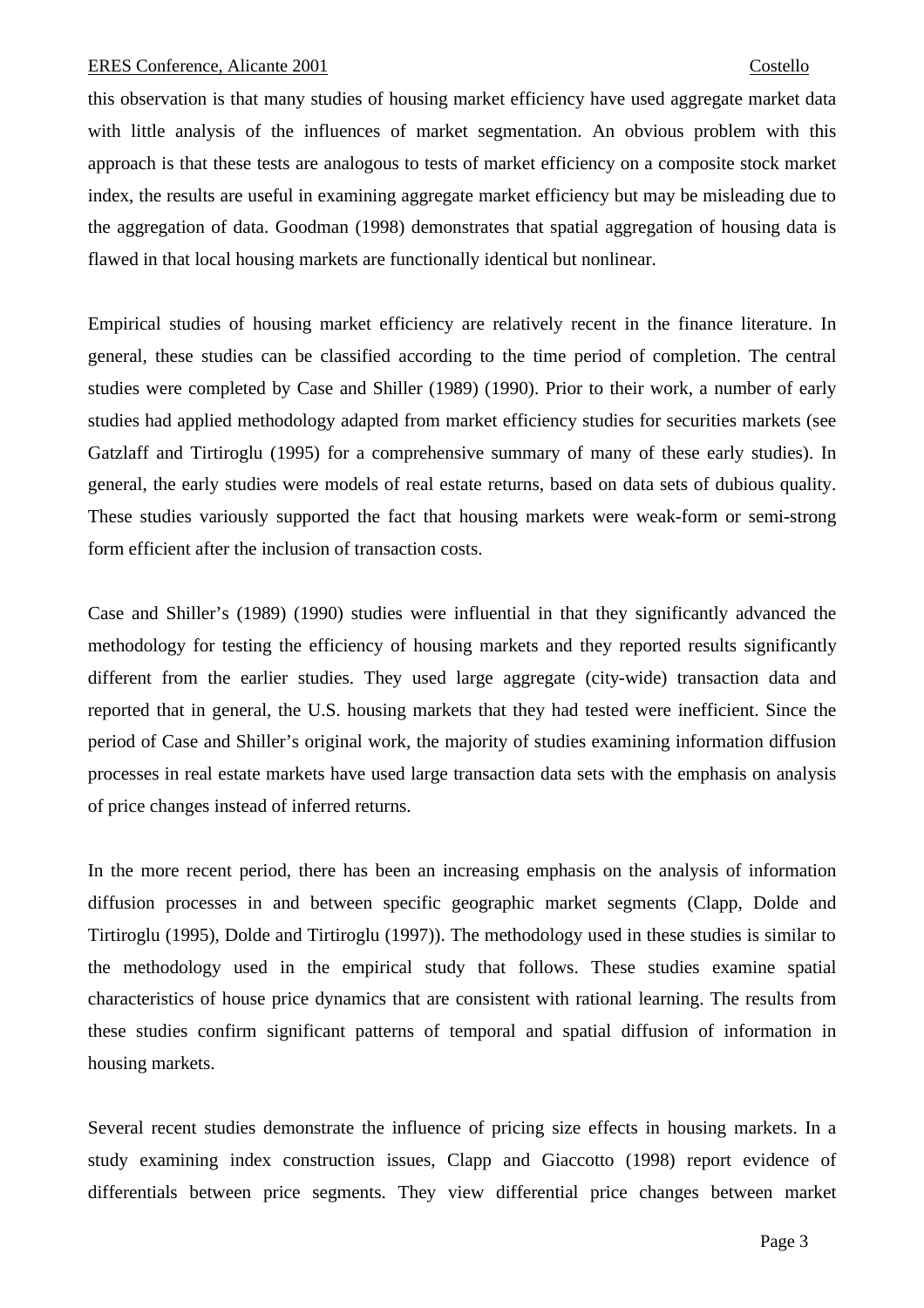this observation is that many studies of housing market efficiency have used aggregate market data with little analysis of the influences of market segmentation. An obvious problem with this approach is that these tests are analogous to tests of market efficiency on a composite stock market index, the results are useful in examining aggregate market efficiency but may be misleading due to the aggregation of data. Goodman (1998) demonstrates that spatial aggregation of housing data is flawed in that local housing markets are functionally identical but nonlinear.

Empirical studies of housing market efficiency are relatively recent in the finance literature. In general, these studies can be classified according to the time period of completion. The central studies were completed by Case and Shiller (1989) (1990). Prior to their work, a number of early studies had applied methodology adapted from market efficiency studies for securities markets (see Gatzlaff and Tirtiroglu (1995) for a comprehensive summary of many of these early studies). In general, the early studies were models of real estate returns, based on data sets of dubious quality. These studies variously supported the fact that housing markets were weak-form or semi-strong form efficient after the inclusion of transaction costs.

Case and Shiller's (1989) (1990) studies were influential in that they significantly advanced the methodology for testing the efficiency of housing markets and they reported results significantly different from the earlier studies. They used large aggregate (city-wide) transaction data and reported that in general, the U.S. housing markets that they had tested were inefficient. Since the period of Case and Shiller's original work, the majority of studies examining information diffusion processes in real estate markets have used large transaction data sets with the emphasis on analysis of price changes instead of inferred returns.

In the more recent period, there has been an increasing emphasis on the analysis of information diffusion processes in and between specific geographic market segments (Clapp, Dolde and Tirtiroglu (1995), Dolde and Tirtiroglu (1997)). The methodology used in these studies is similar to the methodology used in the empirical study that follows. These studies examine spatial characteristics of house price dynamics that are consistent with rational learning. The results from these studies confirm significant patterns of temporal and spatial diffusion of information in housing markets.

Several recent studies demonstrate the influence of pricing size effects in housing markets. In a study examining index construction issues, Clapp and Giaccotto (1998) report evidence of differentials between price segments. They view differential price changes between market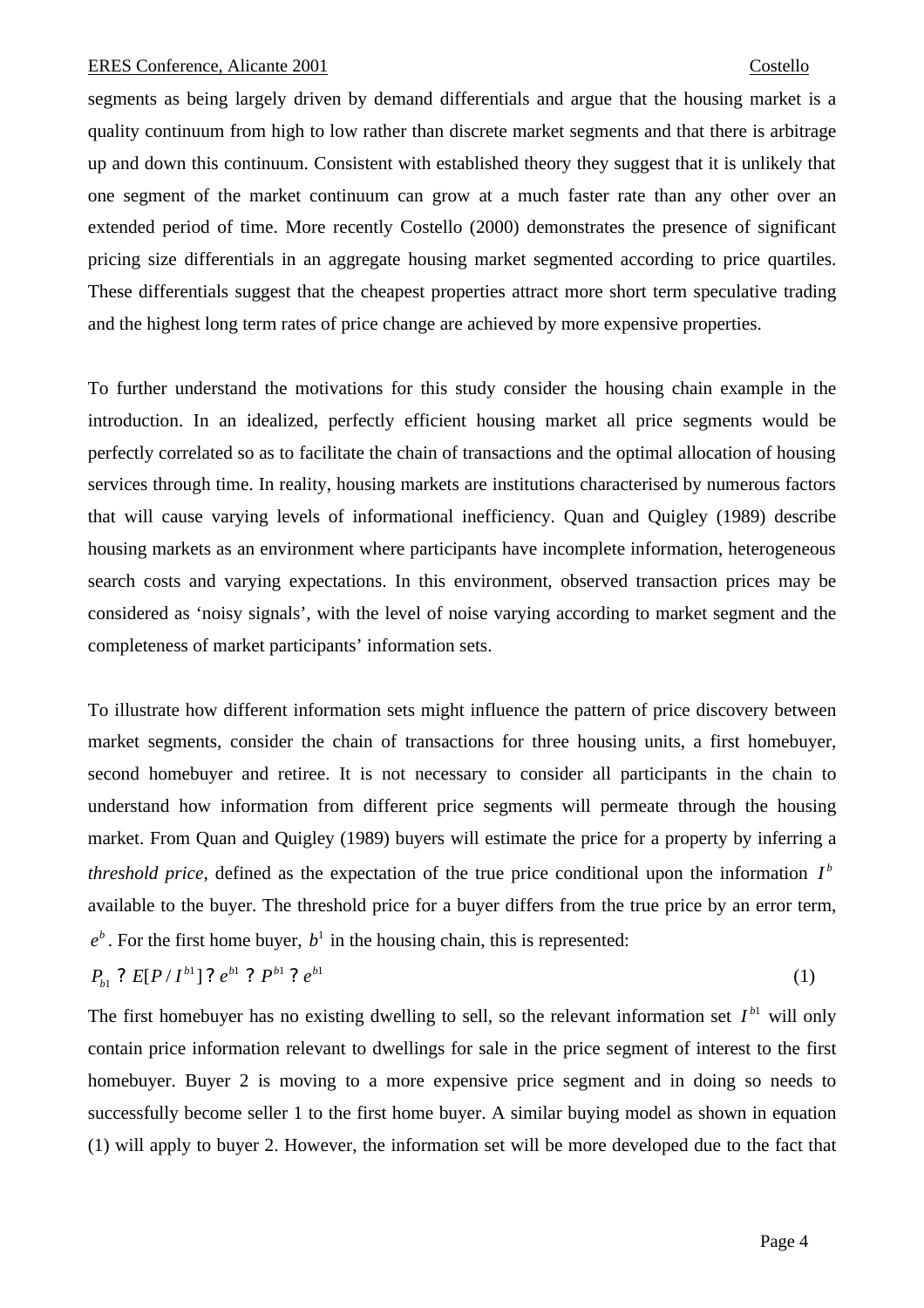segments as being largely driven by demand differentials and argue that the housing market is a quality continuum from high to low rather than discrete market segments and that there is arbitrage up and down this continuum. Consistent with established theory they suggest that it is unlikely that one segment of the market continuum can grow at a much faster rate than any other over an extended period of time. More recently Costello (2000) demonstrates the presence of significant pricing size differentials in an aggregate housing market segmented according to price quartiles. These differentials suggest that the cheapest properties attract more short term speculative trading and the highest long term rates of price change are achieved by more expensive properties.

To further understand the motivations for this study consider the housing chain example in the introduction. In an idealized, perfectly efficient housing market all price segments would be perfectly correlated so as to facilitate the chain of transactions and the optimal allocation of housing services through time. In reality, housing markets are institutions characterised by numerous factors that will cause varying levels of informational inefficiency. Quan and Quigley (1989) describe housing markets as an environment where participants have incomplete information, heterogeneous search costs and varying expectations. In this environment, observed transaction prices may be considered as 'noisy signals', with the level of noise varying according to market segment and the completeness of market participants' information sets.

To illustrate how different information sets might influence the pattern of price discovery between market segments, consider the chain of transactions for three housing units, a first homebuyer, second homebuyer and retiree. It is not necessary to consider all participants in the chain to understand how information from different price segments will permeate through the housing market. From Quan and Quigley (1989) buyers will estimate the price for a property by inferring a *threshold price*, defined as the expectation of the true price conditional upon the information  $I^b$ available to the buyer. The threshold price for a buyer differs from the true price by an error term,  $e^b$ . For the first home buyer,  $b^1$  in the housing chain, this is represented:

$$
P_{b1} ? E[P/I^{b1}] ? e^{b1} ? P^{b1} ? e^{b1}
$$
 (1)

The first homebuyer has no existing dwelling to sell, so the relevant information set  $I<sup>b1</sup>$  will only contain price information relevant to dwellings for sale in the price segment of interest to the first homebuyer. Buyer 2 is moving to a more expensive price segment and in doing so needs to successfully become seller 1 to the first home buyer. A similar buying model as shown in equation (1) will apply to buyer 2. However, the information set will be more developed due to the fact that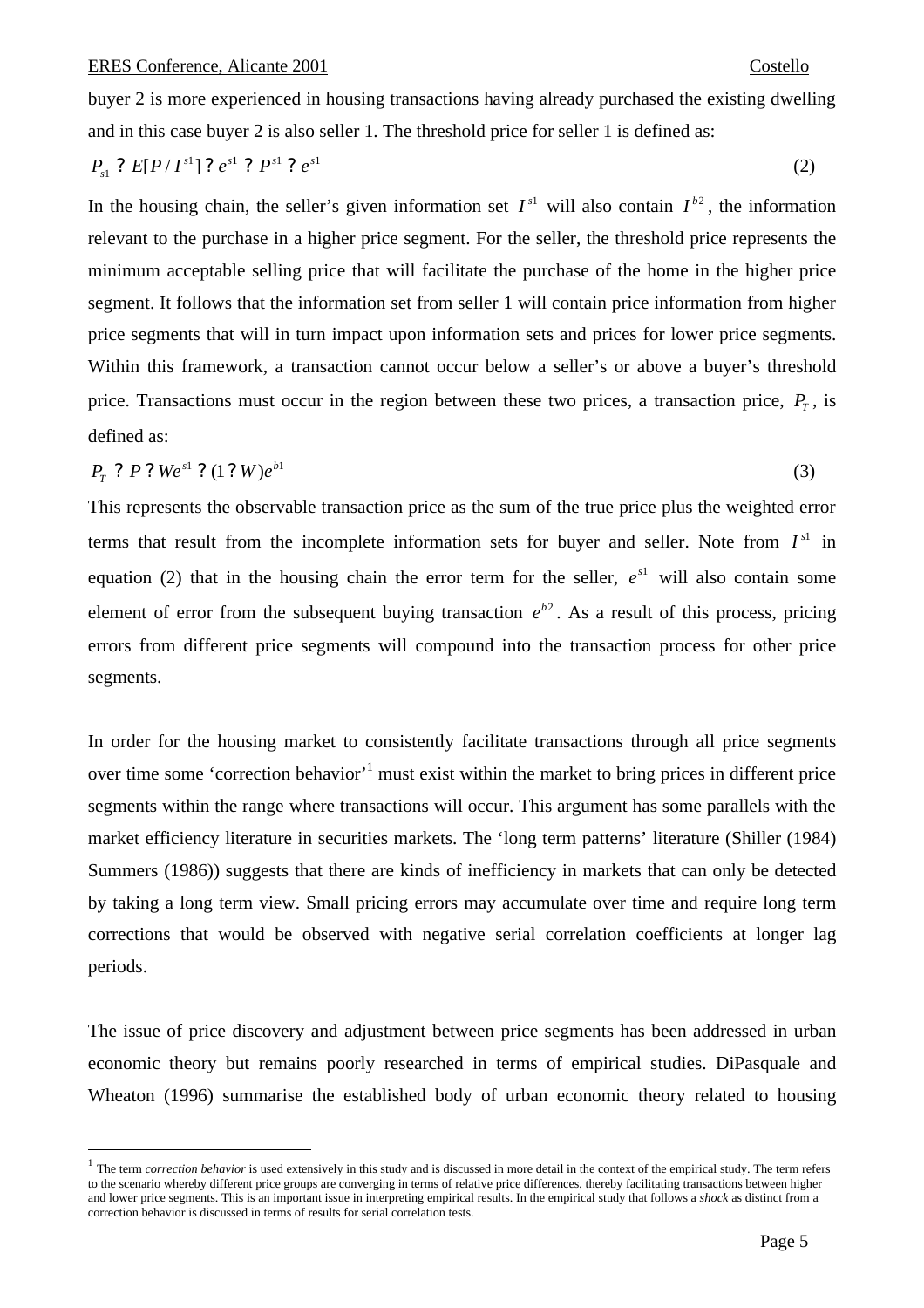$\overline{a}$ 

buyer 2 is more experienced in housing transactions having already purchased the existing dwelling and in this case buyer 2 is also seller 1. The threshold price for seller 1 is defined as:

$$
P_{s1} ? E[P/I^{s1}] ? e^{s1} ? P^{s1} ? e^{s1}
$$
 (2)

In the housing chain, the seller's given information set  $I^{s1}$  will also contain  $I^{b2}$ , the information relevant to the purchase in a higher price segment. For the seller, the threshold price represents the minimum acceptable selling price that will facilitate the purchase of the home in the higher price segment. It follows that the information set from seller 1 will contain price information from higher price segments that will in turn impact upon information sets and prices for lower price segments. Within this framework, a transaction cannot occur below a seller's or above a buyer's threshold price. Transactions must occur in the region between these two prices, a transaction price,  $P<sub>T</sub>$ , is defined as:

$$
P_T ? P ? Wes1 ? (1 ? W)es1
$$
 (3)

This represents the observable transaction price as the sum of the true price plus the weighted error terms that result from the incomplete information sets for buyer and seller. Note from  $I<sup>s1</sup>$  in equation (2) that in the housing chain the error term for the seller,  $e^{s1}$  will also contain some element of error from the subsequent buying transaction  $e^{b^2}$ . As a result of this process, pricing errors from different price segments will compound into the transaction process for other price segments.

In order for the housing market to consistently facilitate transactions through all price segments over time some 'correction behavior'<sup>1</sup> must exist within the market to bring prices in different price segments within the range where transactions will occur. This argument has some parallels with the market efficiency literature in securities markets. The 'long term patterns' literature (Shiller (1984) Summers (1986)) suggests that there are kinds of inefficiency in markets that can only be detected by taking a long term view. Small pricing errors may accumulate over time and require long term corrections that would be observed with negative serial correlation coefficients at longer lag periods.

The issue of price discovery and adjustment between price segments has been addressed in urban economic theory but remains poorly researched in terms of empirical studies. DiPasquale and Wheaton (1996) summarise the established body of urban economic theory related to housing

<sup>&</sup>lt;sup>1</sup> The term *correction behavior* is used extensively in this study and is discussed in more detail in the context of the empirical study. The term refers to the scenario whereby different price groups are converging in terms of relative price differences, thereby facilitating transactions between higher and lower price segments. This is an important issue in interpreting empirical results. In the empirical study that follows a *shock* as distinct from a correction behavior is discussed in terms of results for serial correlation tests.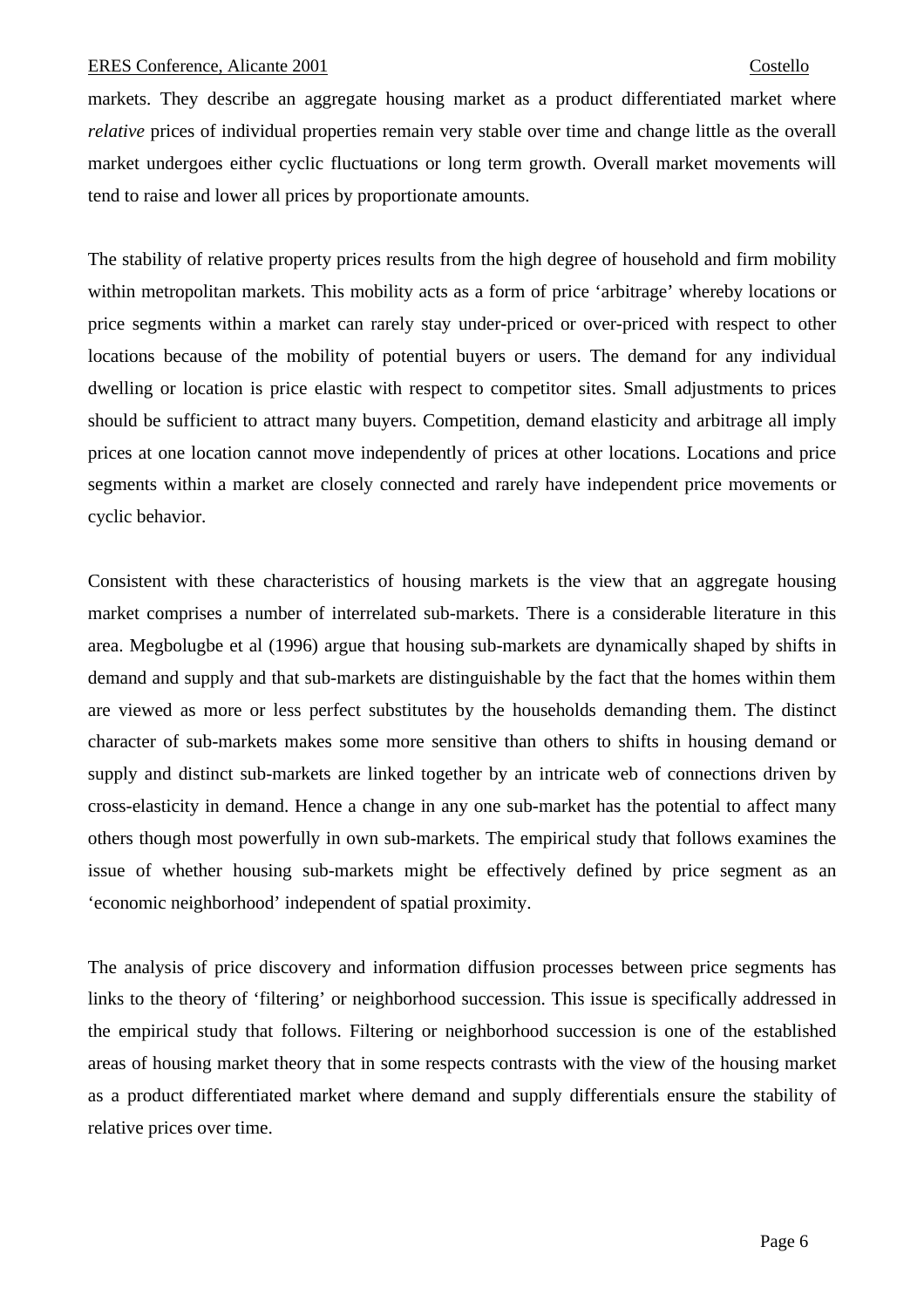markets. They describe an aggregate housing market as a product differentiated market where *relative* prices of individual properties remain very stable over time and change little as the overall market undergoes either cyclic fluctuations or long term growth. Overall market movements will tend to raise and lower all prices by proportionate amounts.

The stability of relative property prices results from the high degree of household and firm mobility within metropolitan markets. This mobility acts as a form of price 'arbitrage' whereby locations or price segments within a market can rarely stay under-priced or over-priced with respect to other locations because of the mobility of potential buyers or users. The demand for any individual dwelling or location is price elastic with respect to competitor sites. Small adjustments to prices should be sufficient to attract many buyers. Competition, demand elasticity and arbitrage all imply prices at one location cannot move independently of prices at other locations. Locations and price segments within a market are closely connected and rarely have independent price movements or cyclic behavior.

Consistent with these characteristics of housing markets is the view that an aggregate housing market comprises a number of interrelated sub-markets. There is a considerable literature in this area. Megbolugbe et al (1996) argue that housing sub-markets are dynamically shaped by shifts in demand and supply and that sub-markets are distinguishable by the fact that the homes within them are viewed as more or less perfect substitutes by the households demanding them. The distinct character of sub-markets makes some more sensitive than others to shifts in housing demand or supply and distinct sub-markets are linked together by an intricate web of connections driven by cross-elasticity in demand. Hence a change in any one sub-market has the potential to affect many others though most powerfully in own sub-markets. The empirical study that follows examines the issue of whether housing sub-markets might be effectively defined by price segment as an 'economic neighborhood' independent of spatial proximity.

The analysis of price discovery and information diffusion processes between price segments has links to the theory of 'filtering' or neighborhood succession. This issue is specifically addressed in the empirical study that follows. Filtering or neighborhood succession is one of the established areas of housing market theory that in some respects contrasts with the view of the housing market as a product differentiated market where demand and supply differentials ensure the stability of relative prices over time.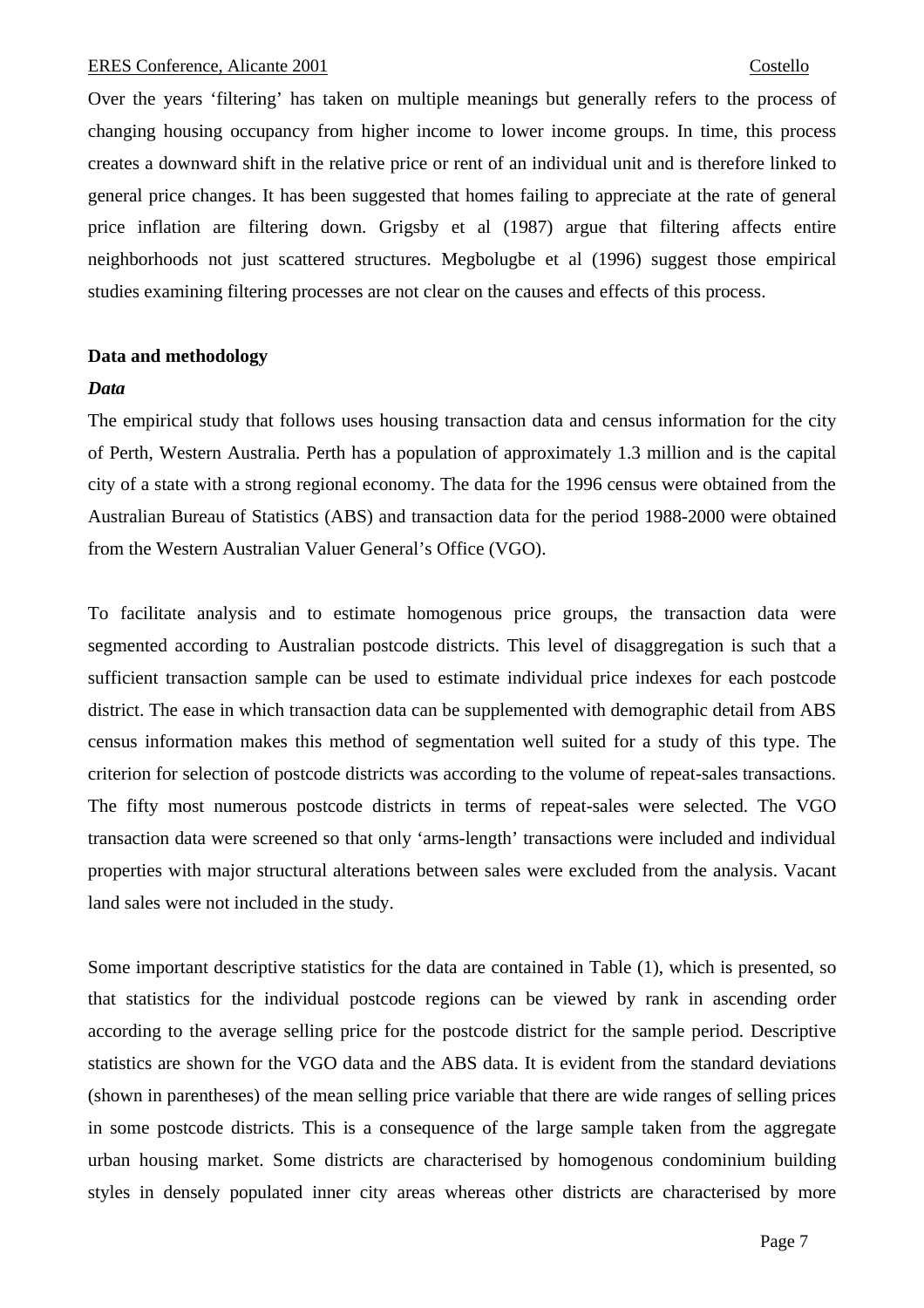Over the years 'filtering' has taken on multiple meanings but generally refers to the process of changing housing occupancy from higher income to lower income groups. In time, this process creates a downward shift in the relative price or rent of an individual unit and is therefore linked to general price changes. It has been suggested that homes failing to appreciate at the rate of general price inflation are filtering down. Grigsby et al (1987) argue that filtering affects entire neighborhoods not just scattered structures. Megbolugbe et al (1996) suggest those empirical studies examining filtering processes are not clear on the causes and effects of this process.

# **Data and methodology**

### *Data*

The empirical study that follows uses housing transaction data and census information for the city of Perth, Western Australia. Perth has a population of approximately 1.3 million and is the capital city of a state with a strong regional economy. The data for the 1996 census were obtained from the Australian Bureau of Statistics (ABS) and transaction data for the period 1988-2000 were obtained from the Western Australian Valuer General's Office (VGO).

To facilitate analysis and to estimate homogenous price groups, the transaction data were segmented according to Australian postcode districts. This level of disaggregation is such that a sufficient transaction sample can be used to estimate individual price indexes for each postcode district. The ease in which transaction data can be supplemented with demographic detail from ABS census information makes this method of segmentation well suited for a study of this type. The criterion for selection of postcode districts was according to the volume of repeat-sales transactions. The fifty most numerous postcode districts in terms of repeat-sales were selected. The VGO transaction data were screened so that only 'arms-length' transactions were included and individual properties with major structural alterations between sales were excluded from the analysis. Vacant land sales were not included in the study.

Some important descriptive statistics for the data are contained in Table (1), which is presented, so that statistics for the individual postcode regions can be viewed by rank in ascending order according to the average selling price for the postcode district for the sample period. Descriptive statistics are shown for the VGO data and the ABS data. It is evident from the standard deviations (shown in parentheses) of the mean selling price variable that there are wide ranges of selling prices in some postcode districts. This is a consequence of the large sample taken from the aggregate urban housing market. Some districts are characterised by homogenous condominium building styles in densely populated inner city areas whereas other districts are characterised by more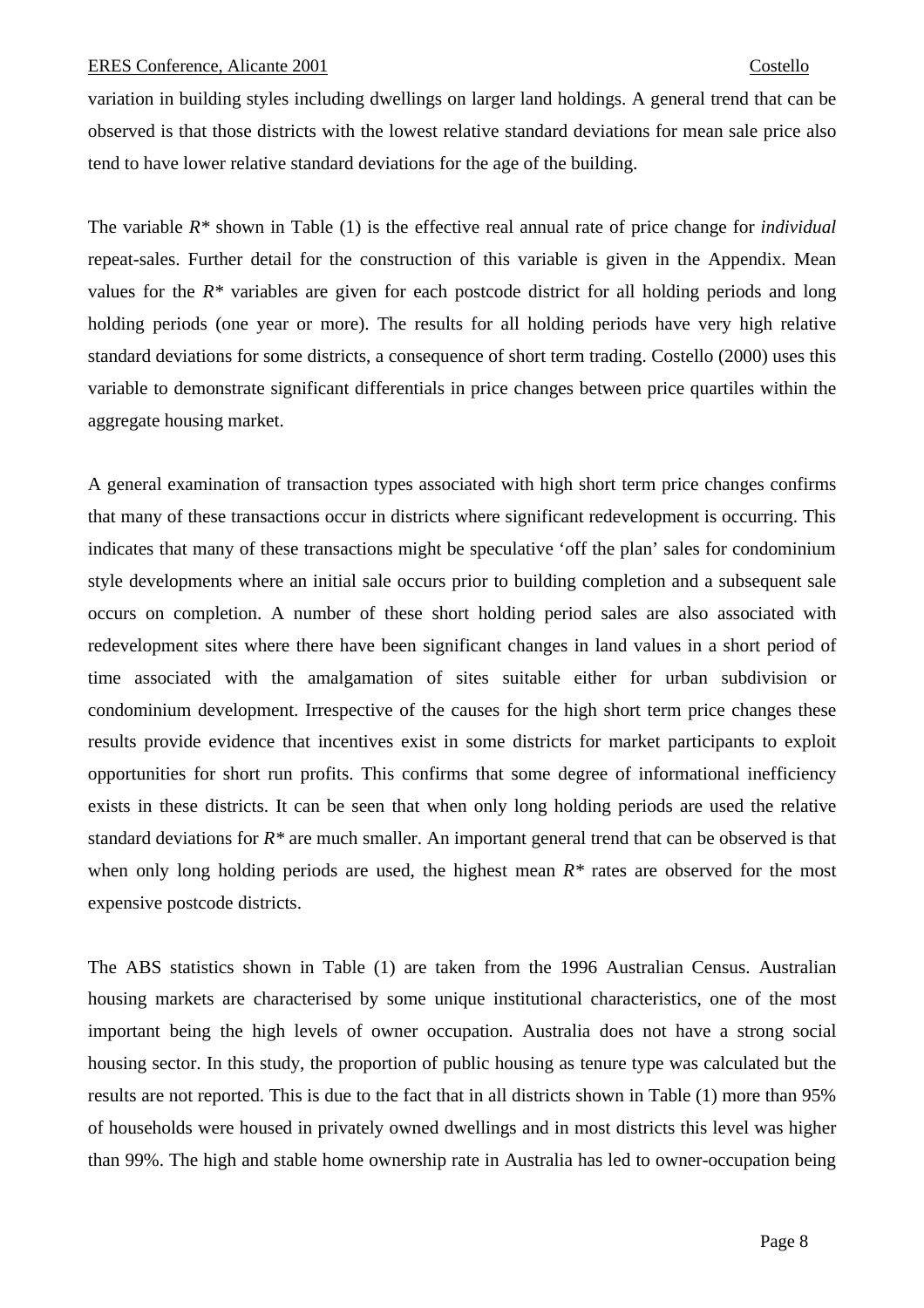variation in building styles including dwellings on larger land holdings. A general trend that can be observed is that those districts with the lowest relative standard deviations for mean sale price also tend to have lower relative standard deviations for the age of the building.

The variable *R\** shown in Table (1) is the effective real annual rate of price change for *individual*  repeat-sales. Further detail for the construction of this variable is given in the Appendix. Mean values for the *R\** variables are given for each postcode district for all holding periods and long holding periods (one year or more). The results for all holding periods have very high relative standard deviations for some districts, a consequence of short term trading. Costello (2000) uses this variable to demonstrate significant differentials in price changes between price quartiles within the aggregate housing market.

A general examination of transaction types associated with high short term price changes confirms that many of these transactions occur in districts where significant redevelopment is occurring. This indicates that many of these transactions might be speculative 'off the plan' sales for condominium style developments where an initial sale occurs prior to building completion and a subsequent sale occurs on completion. A number of these short holding period sales are also associated with redevelopment sites where there have been significant changes in land values in a short period of time associated with the amalgamation of sites suitable either for urban subdivision or condominium development. Irrespective of the causes for the high short term price changes these results provide evidence that incentives exist in some districts for market participants to exploit opportunities for short run profits. This confirms that some degree of informational inefficiency exists in these districts. It can be seen that when only long holding periods are used the relative standard deviations for *R\** are much smaller. An important general trend that can be observed is that when only long holding periods are used, the highest mean *R\** rates are observed for the most expensive postcode districts.

The ABS statistics shown in Table (1) are taken from the 1996 Australian Census. Australian housing markets are characterised by some unique institutional characteristics, one of the most important being the high levels of owner occupation. Australia does not have a strong social housing sector. In this study, the proportion of public housing as tenure type was calculated but the results are not reported. This is due to the fact that in all districts shown in Table (1) more than 95% of households were housed in privately owned dwellings and in most districts this level was higher than 99%. The high and stable home ownership rate in Australia has led to owner-occupation being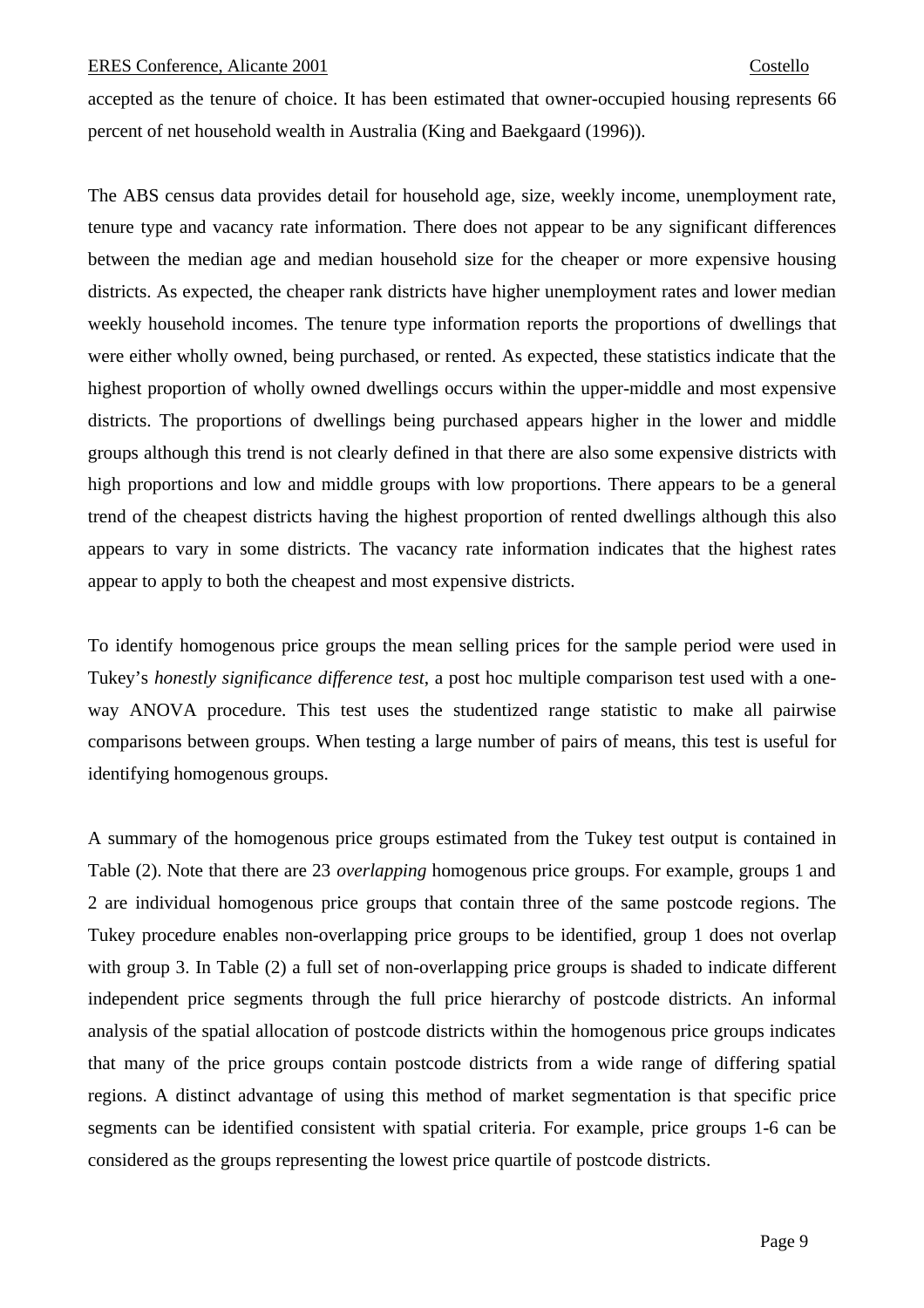accepted as the tenure of choice. It has been estimated that owner-occupied housing represents 66 percent of net household wealth in Australia (King and Baekgaard (1996)).

The ABS census data provides detail for household age, size, weekly income, unemployment rate, tenure type and vacancy rate information. There does not appear to be any significant differences between the median age and median household size for the cheaper or more expensive housing districts. As expected, the cheaper rank districts have higher unemployment rates and lower median weekly household incomes. The tenure type information reports the proportions of dwellings that were either wholly owned, being purchased, or rented. As expected, these statistics indicate that the highest proportion of wholly owned dwellings occurs within the upper-middle and most expensive districts. The proportions of dwellings being purchased appears higher in the lower and middle groups although this trend is not clearly defined in that there are also some expensive districts with high proportions and low and middle groups with low proportions. There appears to be a general trend of the cheapest districts having the highest proportion of rented dwellings although this also appears to vary in some districts. The vacancy rate information indicates that the highest rates appear to apply to both the cheapest and most expensive districts.

To identify homogenous price groups the mean selling prices for the sample period were used in Tukey's *honestly significance difference test*, a post hoc multiple comparison test used with a oneway ANOVA procedure. This test uses the studentized range statistic to make all pairwise comparisons between groups. When testing a large number of pairs of means, this test is useful for identifying homogenous groups.

A summary of the homogenous price groups estimated from the Tukey test output is contained in Table (2). Note that there are 23 *overlapping* homogenous price groups. For example, groups 1 and 2 are individual homogenous price groups that contain three of the same postcode regions. The Tukey procedure enables non-overlapping price groups to be identified, group 1 does not overlap with group 3. In Table (2) a full set of non-overlapping price groups is shaded to indicate different independent price segments through the full price hierarchy of postcode districts. An informal analysis of the spatial allocation of postcode districts within the homogenous price groups indicates that many of the price groups contain postcode districts from a wide range of differing spatial regions. A distinct advantage of using this method of market segmentation is that specific price segments can be identified consistent with spatial criteria. For example, price groups 1-6 can be considered as the groups representing the lowest price quartile of postcode districts.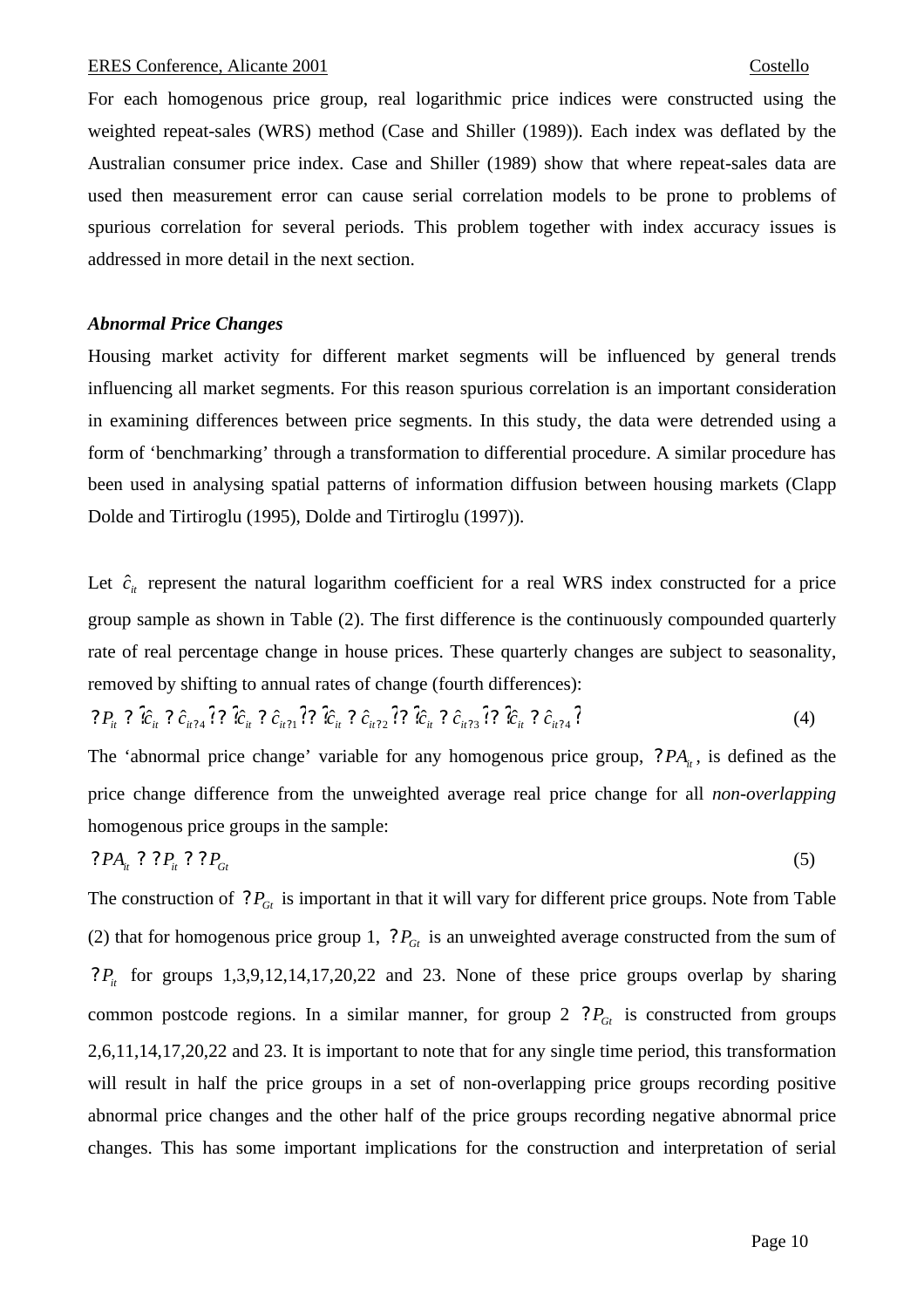For each homogenous price group, real logarithmic price indices were constructed using the weighted repeat-sales (WRS) method (Case and Shiller (1989)). Each index was deflated by the Australian consumer price index. Case and Shiller (1989) show that where repeat-sales data are used then measurement error can cause serial correlation models to be prone to problems of spurious correlation for several periods. This problem together with index accuracy issues is addressed in more detail in the next section.

# *Abnormal Price Changes*

Housing market activity for different market segments will be influenced by general trends influencing all market segments. For this reason spurious correlation is an important consideration in examining differences between price segments. In this study, the data were detrended using a form of 'benchmarking' through a transformation to differential procedure. A similar procedure has been used in analysing spatial patterns of information diffusion between housing markets (Clapp Dolde and Tirtiroglu (1995), Dolde and Tirtiroglu (1997)).

Let  $\hat{c}_i$  represent the natural logarithm coefficient for a real WRS index constructed for a price group sample as shown in Table (2). The first difference is the continuously compounded quarterly rate of real percentage change in house prices. These quarterly changes are subject to seasonality, removed by shifting to annual rates of change (fourth differences):

$$
?P_{ii} ? \hat{c}_{ii} ? \hat{c}_{ii'1} ? ? \hat{c}_{ii} ? \hat{c}_{ii'1} ? ? \hat{c}_{ii} ? \hat{c}_{ii'2} ? ? \hat{c}_{ii'2} ? ? \hat{c}_{ii'1} ? \hat{c}_{ii'2} ? ? \hat{c}_{ii'1} ? \hat{c}_{ii'1} ?
$$
 (4)

The 'abnormal price change' variable for any homogenous price group,  $?PA<sub>i</sub>$ , is defined as the price change difference from the unweighted average real price change for all *non-overlapping* homogenous price groups in the sample:

$$
?PAit ? ?Pit ? ?Pgt
$$
\n
$$
(5)
$$

The construction of  $?P_{Gt}$  is important in that it will vary for different price groups. Note from Table (2) that for homogenous price group 1,  $P_{Gt}$  is an unweighted average constructed from the sum of *P<sub>it</sub>* for groups 1,3,9,12,14,17,20,22 and 23. None of these price groups overlap by sharing common postcode regions. In a similar manner, for group  $2 \tP_{Gt}$  is constructed from groups 2,6,11,14,17,20,22 and 23. It is important to note that for any single time period, this transformation will result in half the price groups in a set of non-overlapping price groups recording positive abnormal price changes and the other half of the price groups recording negative abnormal price changes. This has some important implications for the construction and interpretation of serial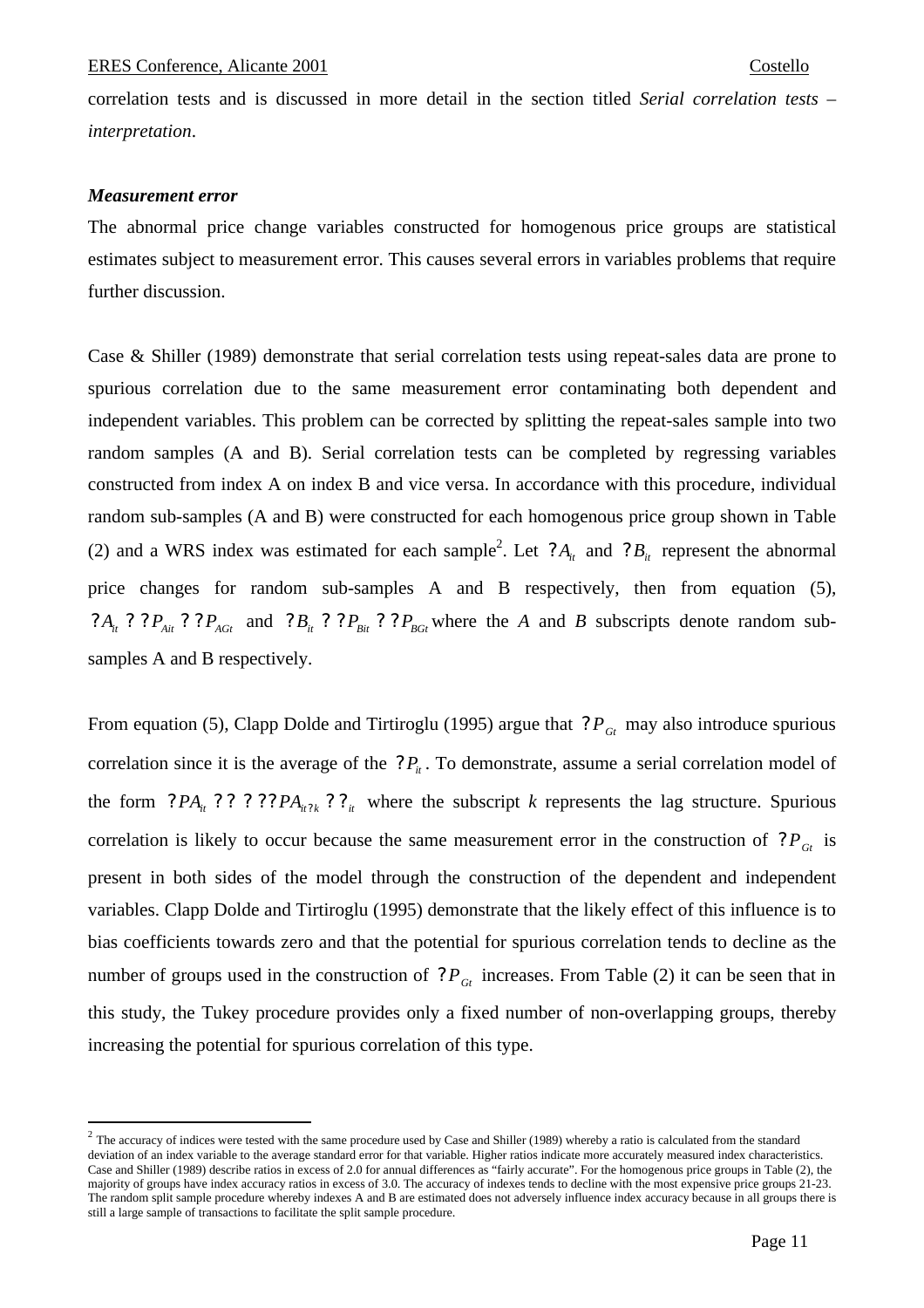correlation tests and is discussed in more detail in the section titled *Serial correlation tests – interpretation*.

# *Measurement error*

 $\overline{a}$ 

The abnormal price change variables constructed for homogenous price groups are statistical estimates subject to measurement error. This causes several errors in variables problems that require further discussion.

Case & Shiller (1989) demonstrate that serial correlation tests using repeat-sales data are prone to spurious correlation due to the same measurement error contaminating both dependent and independent variables. This problem can be corrected by splitting the repeat-sales sample into two random samples (A and B). Serial correlation tests can be completed by regressing variables constructed from index A on index B and vice versa. In accordance with this procedure, individual random sub-samples (A and B) were constructed for each homogenous price group shown in Table (2) and a WRS index was estimated for each sample<sup>2</sup>. Let  $?A_i$  and  $?B_i$  represent the abnormal price changes for random sub-samples A and B respectively, then from equation (5),  $P_{Ai}$  *P*  $P_{Ai}$  *P*  $P_{AGI}$  and  $P_{Bi}$  *P*  $P_{Bi}$  *P*  $P_{BGI}$  where the *A* and *B* subscripts denote random subsamples A and B respectively.

From equation (5), Clapp Dolde and Tirtiroglu (1995) argue that  $P_{\text{G}_t}$  may also introduce spurious correlation since it is the average of the  $P_i$ . To demonstrate, assume a serial correlation model of the form  $?PA_{it}$  ? ? ? ?  $?PA_{it}$  ? ? <sub>*it*</sub> where the subscript *k* represents the lag structure. Spurious correlation is likely to occur because the same measurement error in the construction of  $P_{Gt}$  is present in both sides of the model through the construction of the dependent and independent variables. Clapp Dolde and Tirtiroglu (1995) demonstrate that the likely effect of this influence is to bias coefficients towards zero and that the potential for spurious correlation tends to decline as the number of groups used in the construction of  $?P_{Gt}$  increases. From Table (2) it can be seen that in this study, the Tukey procedure provides only a fixed number of non-overlapping groups, thereby increasing the potential for spurious correlation of this type.

<sup>&</sup>lt;sup>2</sup> The accuracy of indices were tested with the same procedure used by Case and Shiller (1989) whereby a ratio is calculated from the standard deviation of an index variable to the average standard error for that variable. Higher ratios indicate more accurately measured index characteristics. Case and Shiller (1989) describe ratios in excess of 2.0 for annual differences as "fairly accurate". For the homogenous price groups in Table (2), the majority of groups have index accuracy ratios in excess of 3.0. The accuracy of indexes tends to decline with the most expensive price groups 21-23. The random split sample procedure whereby indexes A and B are estimated does not adversely influence index accuracy because in all groups there is still a large sample of transactions to facilitate the split sample procedure.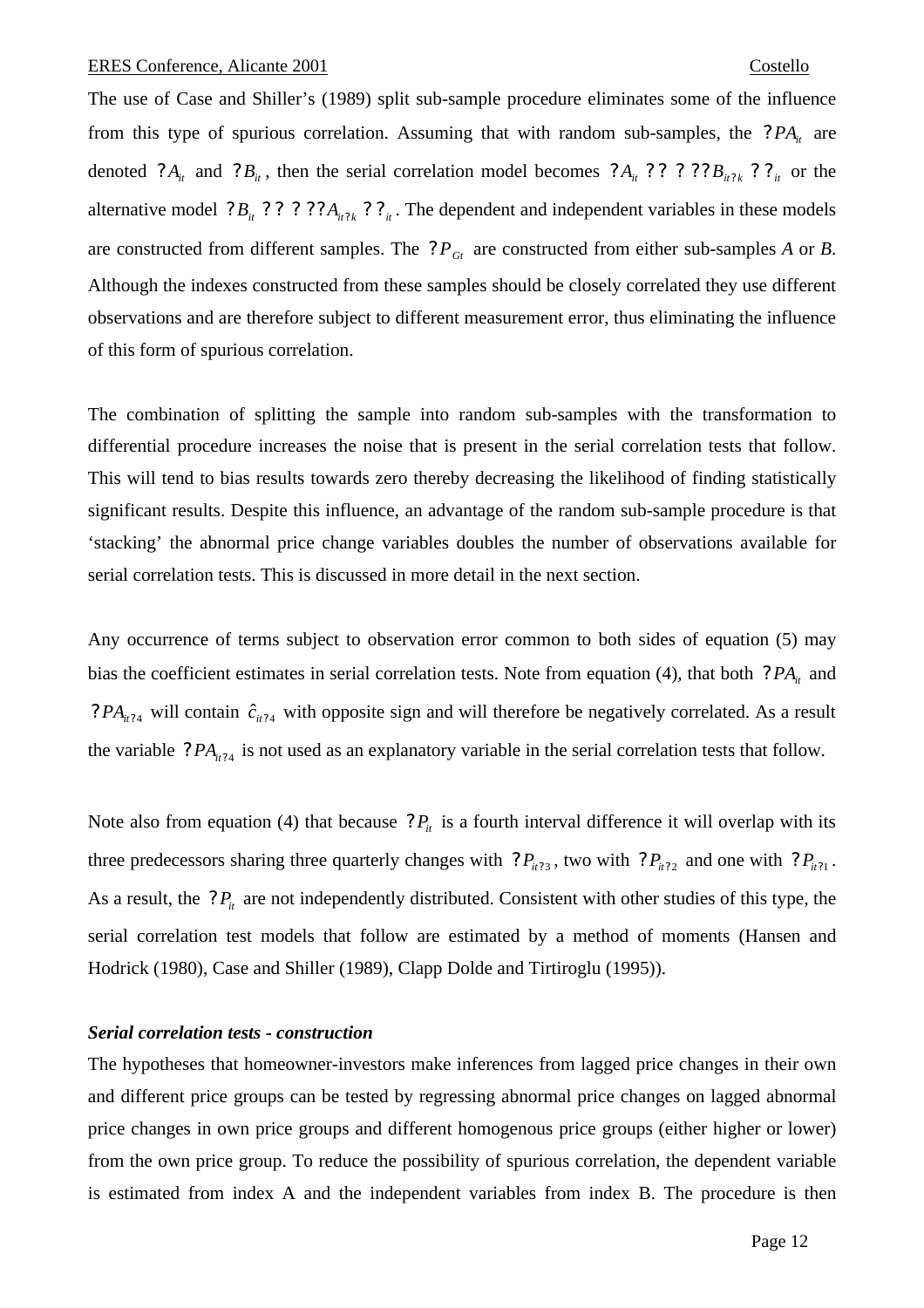The use of Case and Shiller's (1989) split sub-sample procedure eliminates some of the influence from this type of spurious correlation. Assuming that with random sub-samples, the  $?PA<sub>i</sub>$  are denoted  $?A_i$  and  $?B_i$ , then the serial correlation model becomes  $?A_i$  ? ? ? ?  $B_{ii2k}$  ? ?  $\frac{1}{i}$  or the alternative model  $P_{i}$   $P_{i}$   $P_{i}$   $P_{i}$   $P_{i}$   $P_{i}$   $P_{i}$ . The dependent and independent variables in these models are constructed from different samples. The  $P_{G_t}$  are constructed from either sub-samples *A* or *B*. Although the indexes constructed from these samples should be closely correlated they use different observations and are therefore subject to different measurement error, thus eliminating the influence of this form of spurious correlation.

The combination of splitting the sample into random sub-samples with the transformation to differential procedure increases the noise that is present in the serial correlation tests that follow. This will tend to bias results towards zero thereby decreasing the likelihood of finding statistically significant results. Despite this influence, an advantage of the random sub-sample procedure is that 'stacking' the abnormal price change variables doubles the number of observations available for serial correlation tests. This is discussed in more detail in the next section.

Any occurrence of terms subject to observation error common to both sides of equation (5) may bias the coefficient estimates in serial correlation tests. Note from equation (4), that both *PA*<sub>*it*</sub> and ?  $PA_{ii24}$  will contain  $\hat{c}_{ii24}$  with opposite sign and will therefore be negatively correlated. As a result the variable  $?PA_{i114}$  is not used as an explanatory variable in the serial correlation tests that follow.

Note also from equation (4) that because  $P_{it}$  is a fourth interval difference it will overlap with its three predecessors sharing three quarterly changes with  $?P_{ii'2}$ , two with  $?P_{ii'2}$  and one with  $?P_{ii'1}$ . As a result, the  $P_i$ <sup>*it*</sup> are not independently distributed. Consistent with other studies of this type, the serial correlation test models that follow are estimated by a method of moments (Hansen and Hodrick (1980), Case and Shiller (1989), Clapp Dolde and Tirtiroglu (1995)).

### *Serial correlation tests - construction*

The hypotheses that homeowner-investors make inferences from lagged price changes in their own and different price groups can be tested by regressing abnormal price changes on lagged abnormal price changes in own price groups and different homogenous price groups (either higher or lower) from the own price group. To reduce the possibility of spurious correlation, the dependent variable is estimated from index A and the independent variables from index B. The procedure is then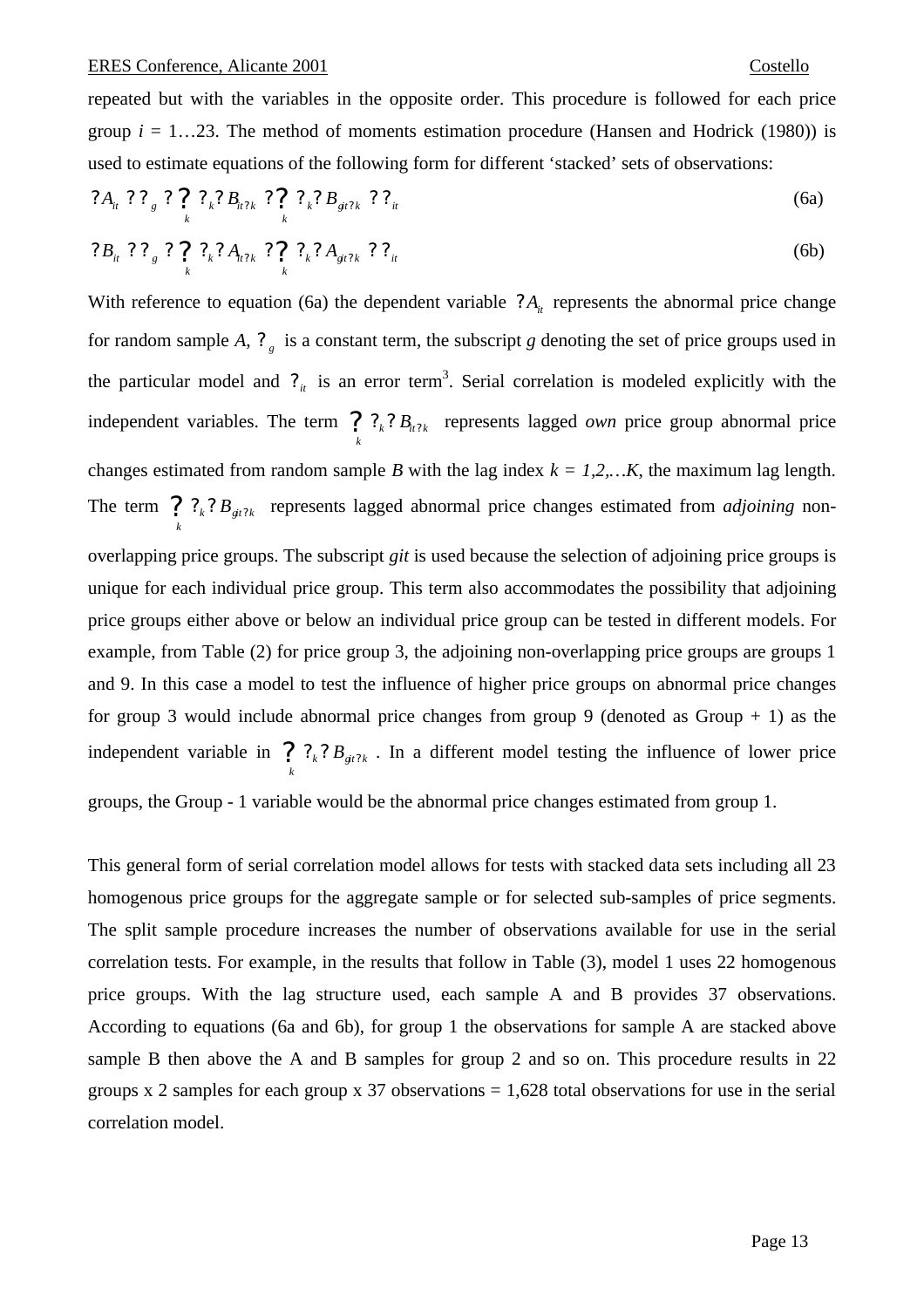repeated but with the variables in the opposite order. This procedure is followed for each price group  $i = 1...23$ . The method of moments estimation procedure (Hansen and Hodrick (1980)) is used to estimate equations of the following form for different 'stacked' sets of observations:

$$
?A_{ii} ? ?_{g} ? ?_{k} ? B_{ii'k} ? ?_{k} ? B_{\frac{ai'k}{2}} ? ?_{ii}
$$
\n
$$
(6a)
$$

$$
?B_{ii} ? ?_{g} ? ?_{k} ? A_{ii2k} ? ?_{k} ? A_{gi2k} ? ?_{ii}
$$
 (6b)

With reference to equation (6a) the dependent variable  $?A<sub>i</sub>$  represents the abnormal price change for random sample *A*,  $\mathcal{P}_g$  is a constant term, the subscript *g* denoting the set of price groups used in the particular model and  $\mathcal{C}_{it}$  is an error term<sup>3</sup>. Serial correlation is modeled explicitly with the independent variables. The term ?  $P_k$ ?  $B_{ii}$ ? *k*  $P_k$ ?  $B_{n2k}$  represents lagged *own* price group abnormal price changes estimated from random sample *B* with the lag index  $k = 1, 2, \dots K$ , the maximum lag length. The term ?  $P_k$ ?  $B_{gi}$ ? *k*  $P_k$ ?  $B_{\text{gil}}$  represents lagged abnormal price changes estimated from *adjoining* nonoverlapping price groups. The subscript *git* is used because the selection of adjoining price groups is unique for each individual price group. This term also accommodates the possibility that adjoining price groups either above or below an individual price group can be tested in different models. For example, from Table (2) for price group 3, the adjoining non-overlapping price groups are groups 1 and 9. In this case a model to test the influence of higher price groups on abnormal price changes for group 3 would include abnormal price changes from group 9 (denoted as Group  $+ 1$ ) as the independent variable in ?  $?_{k}$ ?  $B_{gi}$ ? *k*  $\mathcal{P}_k$ ?  $B_{\text{gt?k}}$ . In a different model testing the influence of lower price groups, the Group - 1 variable would be the abnormal price changes estimated from group 1.

This general form of serial correlation model allows for tests with stacked data sets including all 23 homogenous price groups for the aggregate sample or for selected sub-samples of price segments. The split sample procedure increases the number of observations available for use in the serial correlation tests. For example, in the results that follow in Table (3), model 1 uses 22 homogenous price groups. With the lag structure used, each sample A and B provides 37 observations. According to equations (6a and 6b), for group 1 the observations for sample A are stacked above sample B then above the A and B samples for group 2 and so on. This procedure results in 22 groups x 2 samples for each group x 37 observations  $= 1,628$  total observations for use in the serial correlation model.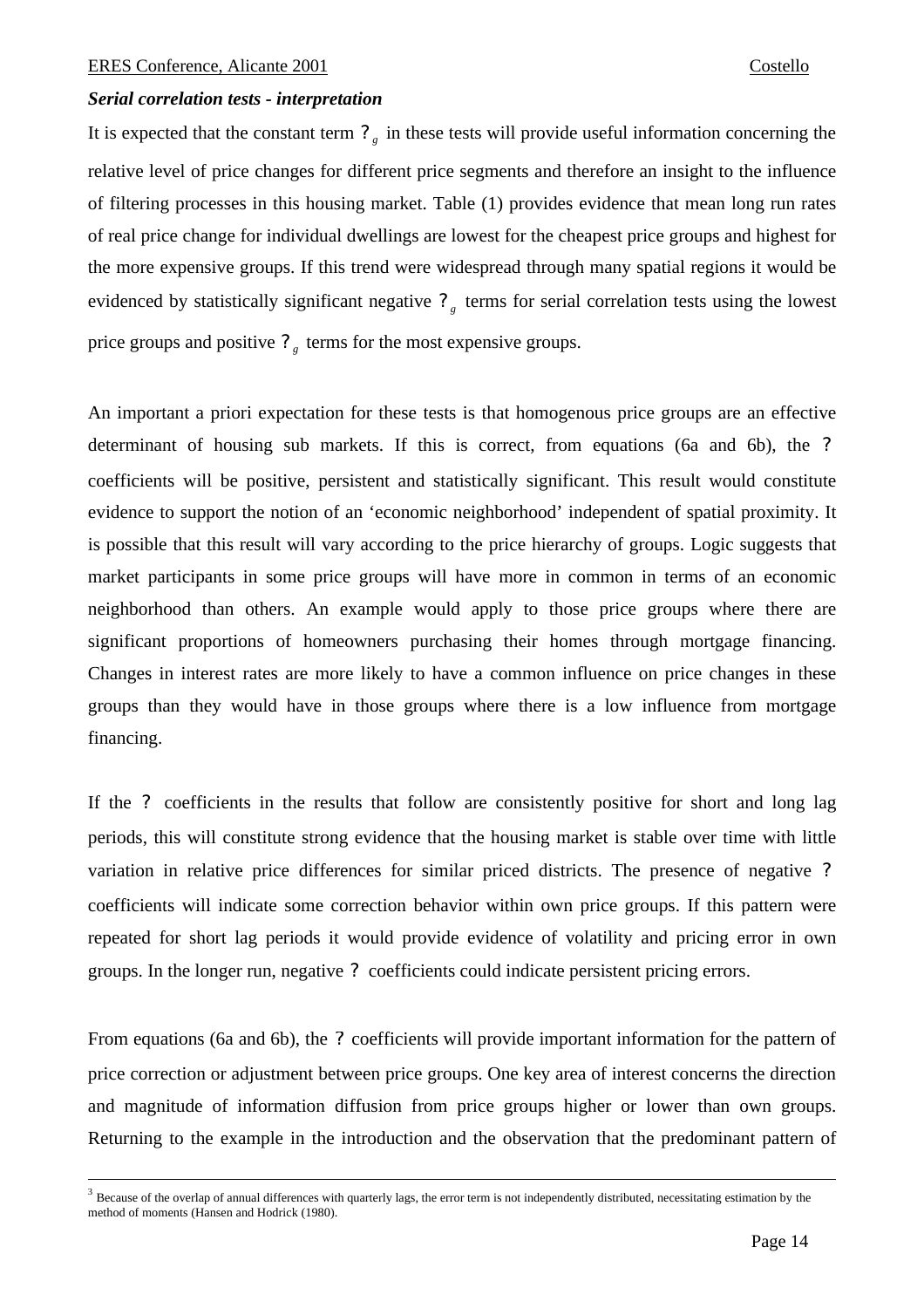$\overline{a}$ 

# *Serial correlation tests - interpretation*

It is expected that the constant term  $\mathcal{P}_g$  in these tests will provide useful information concerning the relative level of price changes for different price segments and therefore an insight to the influence of filtering processes in this housing market. Table (1) provides evidence that mean long run rates of real price change for individual dwellings are lowest for the cheapest price groups and highest for the more expensive groups. If this trend were widespread through many spatial regions it would be evidenced by statistically significant negative  $\mathcal{P}_g$  terms for serial correlation tests using the lowest price groups and positive  $?$ <sub>g</sub> terms for the most expensive groups.

An important a priori expectation for these tests is that homogenous price groups are an effective determinant of housing sub markets. If this is correct, from equations (6a and 6b), the *?* coefficients will be positive, persistent and statistically significant. This result would constitute evidence to support the notion of an 'economic neighborhood' independent of spatial proximity. It is possible that this result will vary according to the price hierarchy of groups. Logic suggests that market participants in some price groups will have more in common in terms of an economic neighborhood than others. An example would apply to those price groups where there are significant proportions of homeowners purchasing their homes through mortgage financing. Changes in interest rates are more likely to have a common influence on price changes in these groups than they would have in those groups where there is a low influence from mortgage financing.

If the *?* coefficients in the results that follow are consistently positive for short and long lag periods, this will constitute strong evidence that the housing market is stable over time with little variation in relative price differences for similar priced districts. The presence of negative *?* coefficients will indicate some correction behavior within own price groups. If this pattern were repeated for short lag periods it would provide evidence of volatility and pricing error in own groups. In the longer run, negative *?* coefficients could indicate persistent pricing errors.

From equations (6a and 6b), the *?* coefficients will provide important information for the pattern of price correction or adjustment between price groups. One key area of interest concerns the direction and magnitude of information diffusion from price groups higher or lower than own groups. Returning to the example in the introduction and the observation that the predominant pattern of

 $3$  Because of the overlap of annual differences with quarterly lags, the error term is not independently distributed, necessitating estimation by the method of moments (Hansen and Hodrick (1980).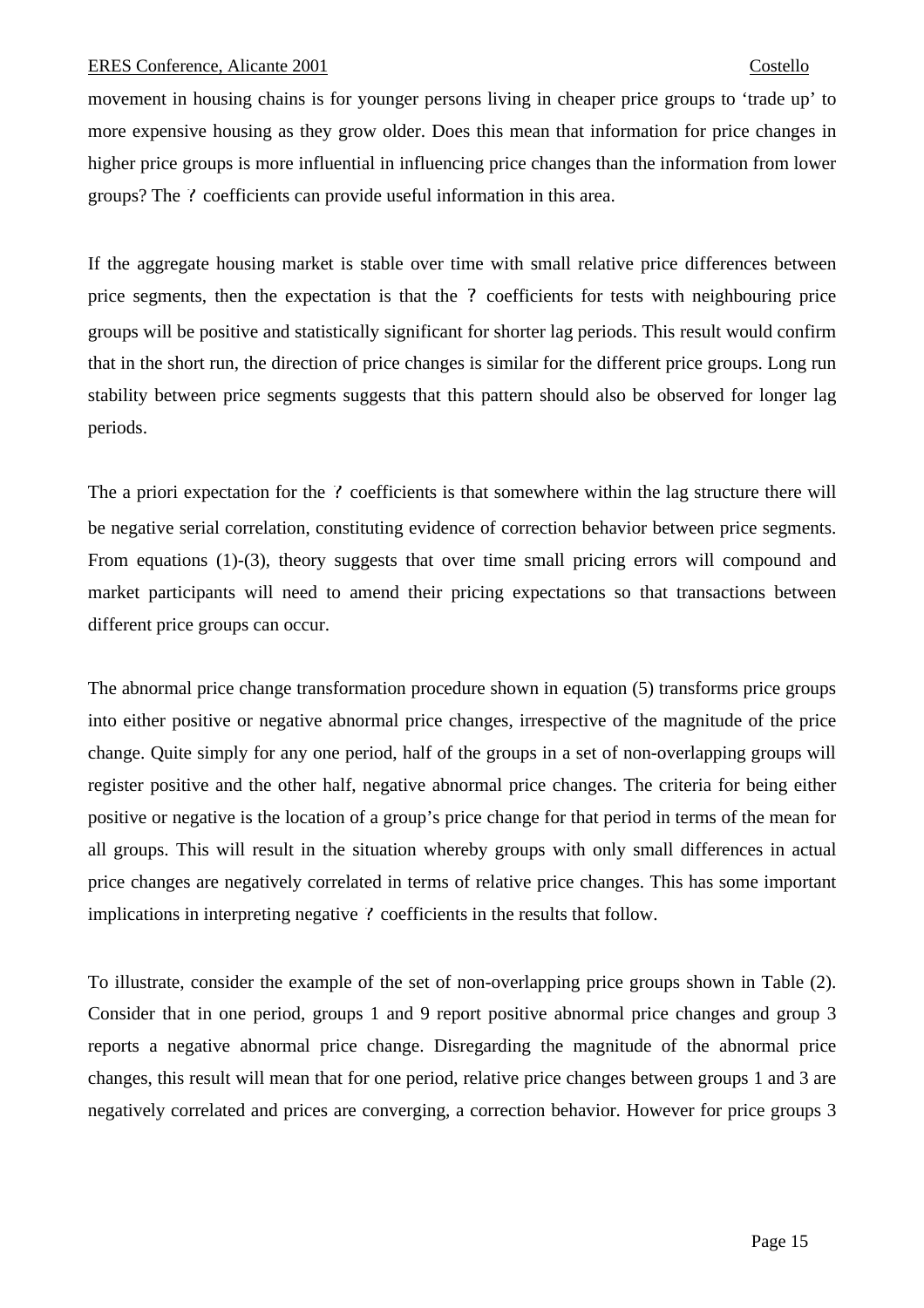movement in housing chains is for younger persons living in cheaper price groups to 'trade up' to more expensive housing as they grow older. Does this mean that information for price changes in higher price groups is more influential in influencing price changes than the information from lower groups? The *?* coefficients can provide useful information in this area.

If the aggregate housing market is stable over time with small relative price differences between price segments, then the expectation is that the *?* coefficients for tests with neighbouring price groups will be positive and statistically significant for shorter lag periods. This result would confirm that in the short run, the direction of price changes is similar for the different price groups. Long run stability between price segments suggests that this pattern should also be observed for longer lag periods.

The a priori expectation for the *?* coefficients is that somewhere within the lag structure there will be negative serial correlation, constituting evidence of correction behavior between price segments. From equations (1)-(3), theory suggests that over time small pricing errors will compound and market participants will need to amend their pricing expectations so that transactions between different price groups can occur.

The abnormal price change transformation procedure shown in equation (5) transforms price groups into either positive or negative abnormal price changes, irrespective of the magnitude of the price change. Quite simply for any one period, half of the groups in a set of non-overlapping groups will register positive and the other half, negative abnormal price changes. The criteria for being either positive or negative is the location of a group's price change for that period in terms of the mean for all groups. This will result in the situation whereby groups with only small differences in actual price changes are negatively correlated in terms of relative price changes. This has some important implications in interpreting negative *?* coefficients in the results that follow.

To illustrate, consider the example of the set of non-overlapping price groups shown in Table (2). Consider that in one period, groups 1 and 9 report positive abnormal price changes and group 3 reports a negative abnormal price change. Disregarding the magnitude of the abnormal price changes, this result will mean that for one period, relative price changes between groups 1 and 3 are negatively correlated and prices are converging, a correction behavior. However for price groups 3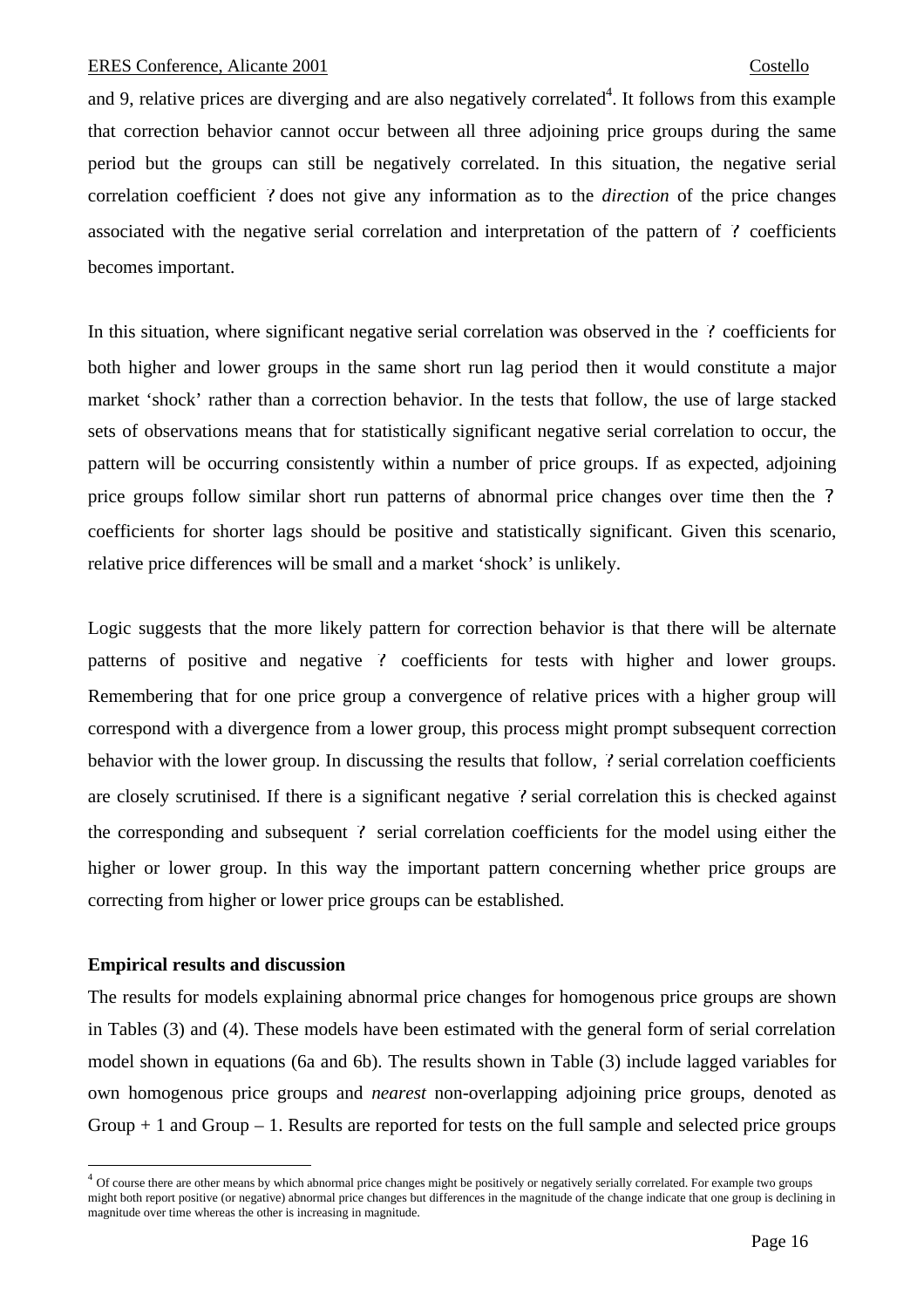and 9, relative prices are diverging and are also negatively correlated<sup>4</sup>. It follows from this example that correction behavior cannot occur between all three adjoining price groups during the same period but the groups can still be negatively correlated. In this situation, the negative serial correlation coefficient *?* does not give any information as to the *direction* of the price changes associated with the negative serial correlation and interpretation of the pattern of *?* coefficients becomes important.

In this situation, where significant negative serial correlation was observed in the *?* coefficients for both higher and lower groups in the same short run lag period then it would constitute a major market 'shock' rather than a correction behavior. In the tests that follow, the use of large stacked sets of observations means that for statistically significant negative serial correlation to occur, the pattern will be occurring consistently within a number of price groups. If as expected, adjoining price groups follow similar short run patterns of abnormal price changes over time then the *?* coefficients for shorter lags should be positive and statistically significant. Given this scenario, relative price differences will be small and a market 'shock' is unlikely.

Logic suggests that the more likely pattern for correction behavior is that there will be alternate patterns of positive and negative *?* coefficients for tests with higher and lower groups. Remembering that for one price group a convergence of relative prices with a higher group will correspond with a divergence from a lower group, this process might prompt subsequent correction behavior with the lower group. In discussing the results that follow, *?* serial correlation coefficients are closely scrutinised. If there is a significant negative *?* serial correlation this is checked against the corresponding and subsequent *?* serial correlation coefficients for the model using either the higher or lower group. In this way the important pattern concerning whether price groups are correcting from higher or lower price groups can be established.

# **Empirical results and discussion**

 $\overline{a}$ 

The results for models explaining abnormal price changes for homogenous price groups are shown in Tables (3) and (4). These models have been estimated with the general form of serial correlation model shown in equations (6a and 6b). The results shown in Table (3) include lagged variables for own homogenous price groups and *nearest* non-overlapping adjoining price groups, denoted as Group  $+ 1$  and Group  $- 1$ . Results are reported for tests on the full sample and selected price groups

<sup>4</sup> Of course there are other means by which abnormal price changes might be positively or negatively serially correlated. For example two groups might both report positive (or negative) abnormal price changes but differences in the magnitude of the change indicate that one group is declining in magnitude over time whereas the other is increasing in magnitude.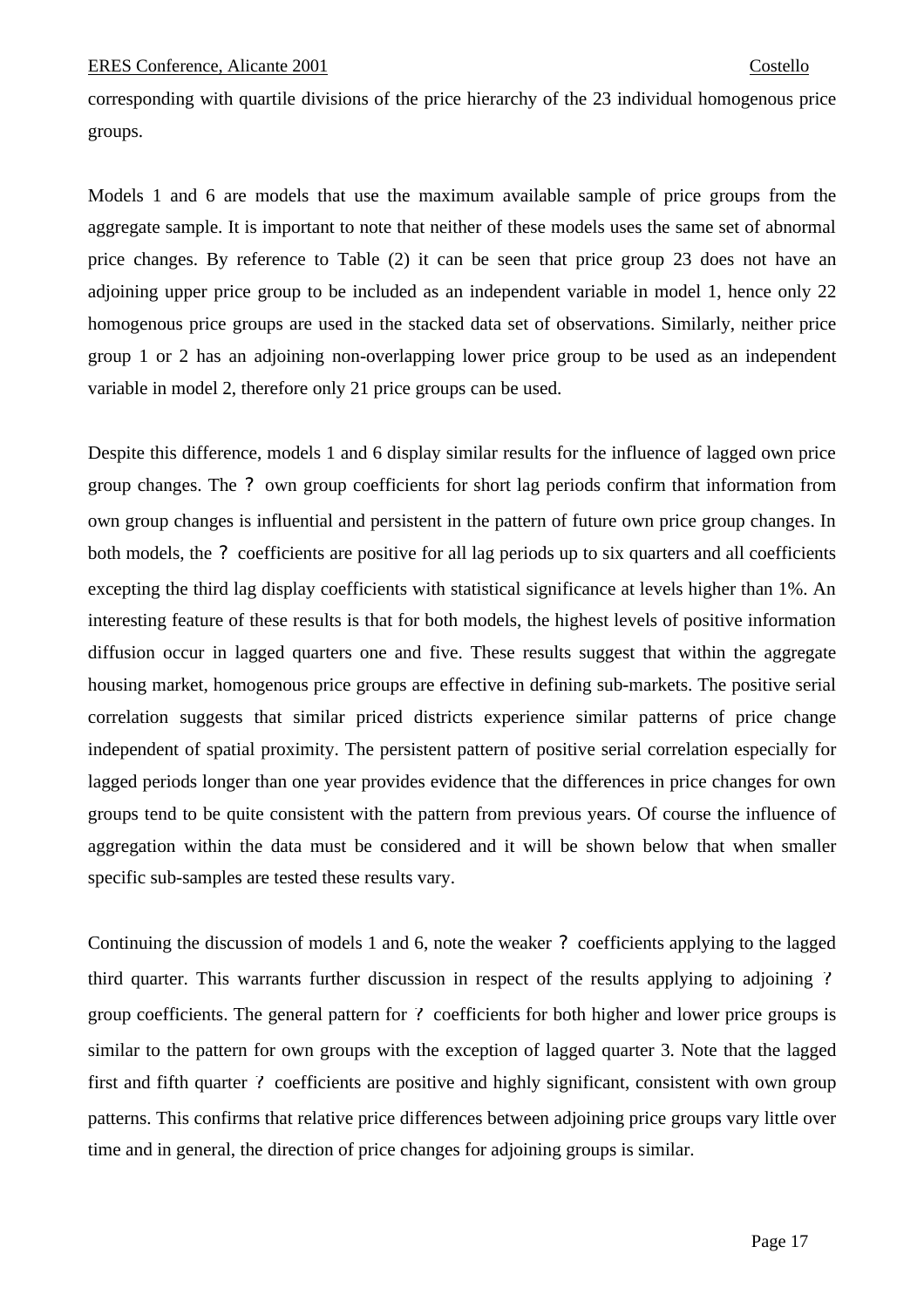corresponding with quartile divisions of the price hierarchy of the 23 individual homogenous price groups.

Models 1 and 6 are models that use the maximum available sample of price groups from the aggregate sample. It is important to note that neither of these models uses the same set of abnormal price changes. By reference to Table (2) it can be seen that price group 23 does not have an adjoining upper price group to be included as an independent variable in model 1, hence only 22 homogenous price groups are used in the stacked data set of observations. Similarly, neither price group 1 or 2 has an adjoining non-overlapping lower price group to be used as an independent variable in model 2, therefore only 21 price groups can be used.

Despite this difference, models 1 and 6 display similar results for the influence of lagged own price group changes. The *?* own group coefficients for short lag periods confirm that information from own group changes is influential and persistent in the pattern of future own price group changes. In both models, the *?* coefficients are positive for all lag periods up to six quarters and all coefficients excepting the third lag display coefficients with statistical significance at levels higher than 1%. An interesting feature of these results is that for both models, the highest levels of positive information diffusion occur in lagged quarters one and five. These results suggest that within the aggregate housing market, homogenous price groups are effective in defining sub-markets. The positive serial correlation suggests that similar priced districts experience similar patterns of price change independent of spatial proximity. The persistent pattern of positive serial correlation especially for lagged periods longer than one year provides evidence that the differences in price changes for own groups tend to be quite consistent with the pattern from previous years. Of course the influence of aggregation within the data must be considered and it will be shown below that when smaller specific sub-samples are tested these results vary.

Continuing the discussion of models 1 and 6, note the weaker *?* coefficients applying to the lagged third quarter. This warrants further discussion in respect of the results applying to adjoining *?* group coefficients. The general pattern for *?* coefficients for both higher and lower price groups is similar to the pattern for own groups with the exception of lagged quarter 3. Note that the lagged first and fifth quarter *?* coefficients are positive and highly significant, consistent with own group patterns. This confirms that relative price differences between adjoining price groups vary little over time and in general, the direction of price changes for adjoining groups is similar.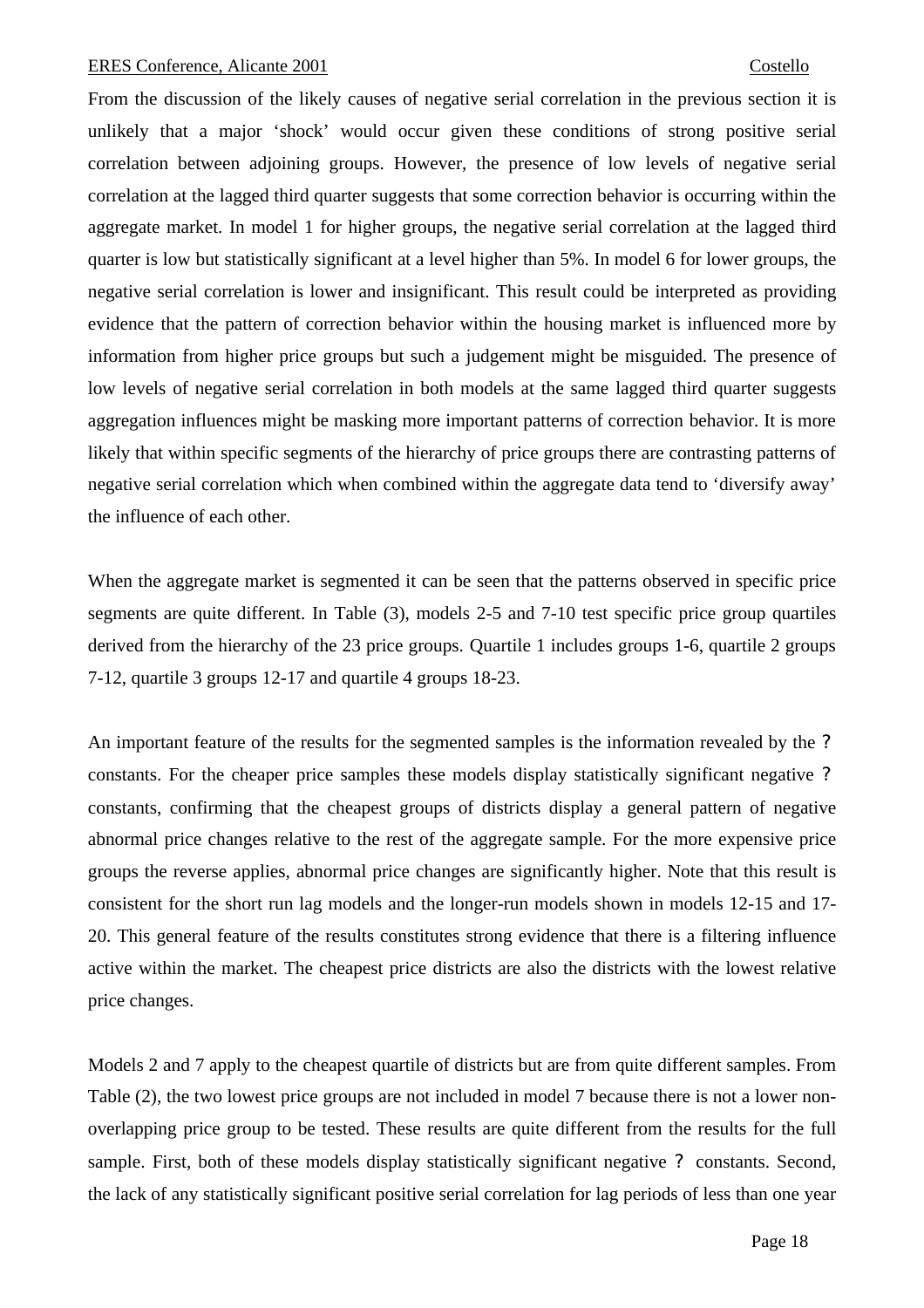From the discussion of the likely causes of negative serial correlation in the previous section it is unlikely that a major 'shock' would occur given these conditions of strong positive serial correlation between adjoining groups. However, the presence of low levels of negative serial correlation at the lagged third quarter suggests that some correction behavior is occurring within the aggregate market. In model 1 for higher groups, the negative serial correlation at the lagged third quarter is low but statistically significant at a level higher than 5%. In model 6 for lower groups, the negative serial correlation is lower and insignificant. This result could be interpreted as providing evidence that the pattern of correction behavior within the housing market is influenced more by information from higher price groups but such a judgement might be misguided. The presence of low levels of negative serial correlation in both models at the same lagged third quarter suggests aggregation influences might be masking more important patterns of correction behavior. It is more likely that within specific segments of the hierarchy of price groups there are contrasting patterns of negative serial correlation which when combined within the aggregate data tend to 'diversify away' the influence of each other.

When the aggregate market is segmented it can be seen that the patterns observed in specific price segments are quite different. In Table (3), models 2-5 and 7-10 test specific price group quartiles derived from the hierarchy of the 23 price groups. Quartile 1 includes groups 1-6, quartile 2 groups 7-12, quartile 3 groups 12-17 and quartile 4 groups 18-23.

An important feature of the results for the segmented samples is the information revealed by the *?* constants. For the cheaper price samples these models display statistically significant negative *?* constants, confirming that the cheapest groups of districts display a general pattern of negative abnormal price changes relative to the rest of the aggregate sample. For the more expensive price groups the reverse applies, abnormal price changes are significantly higher. Note that this result is consistent for the short run lag models and the longer-run models shown in models 12-15 and 17- 20. This general feature of the results constitutes strong evidence that there is a filtering influence active within the market. The cheapest price districts are also the districts with the lowest relative price changes.

Models 2 and 7 apply to the cheapest quartile of districts but are from quite different samples. From Table (2), the two lowest price groups are not included in model 7 because there is not a lower nonoverlapping price group to be tested. These results are quite different from the results for the full sample. First, both of these models display statistically significant negative *?* constants. Second, the lack of any statistically significant positive serial correlation for lag periods of less than one year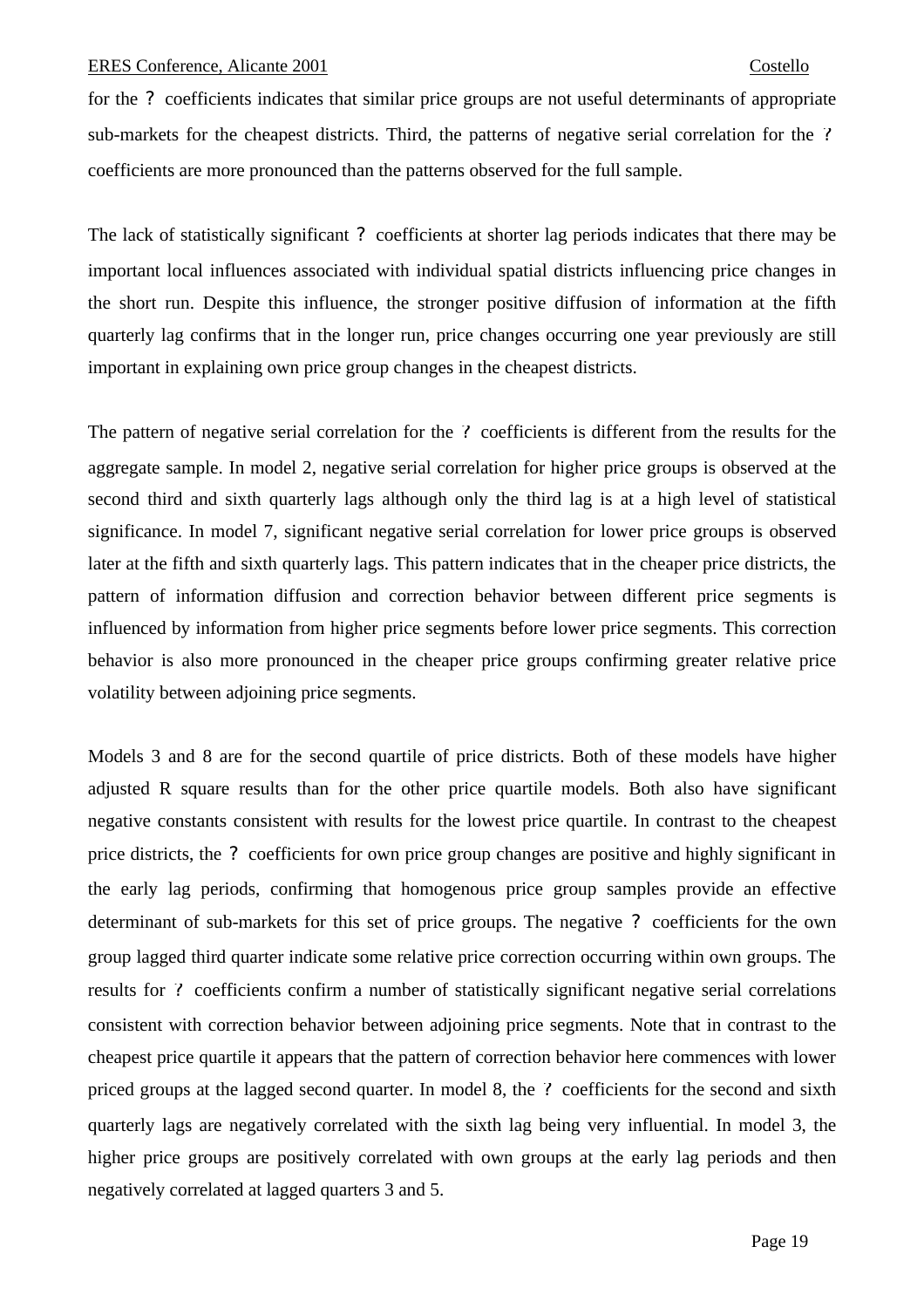for the *?* coefficients indicates that similar price groups are not useful determinants of appropriate sub-markets for the cheapest districts. Third, the patterns of negative serial correlation for the *?* coefficients are more pronounced than the patterns observed for the full sample.

The lack of statistically significant *?* coefficients at shorter lag periods indicates that there may be important local influences associated with individual spatial districts influencing price changes in the short run. Despite this influence, the stronger positive diffusion of information at the fifth quarterly lag confirms that in the longer run, price changes occurring one year previously are still important in explaining own price group changes in the cheapest districts.

The pattern of negative serial correlation for the *?* coefficients is different from the results for the aggregate sample. In model 2, negative serial correlation for higher price groups is observed at the second third and sixth quarterly lags although only the third lag is at a high level of statistical significance. In model 7, significant negative serial correlation for lower price groups is observed later at the fifth and sixth quarterly lags. This pattern indicates that in the cheaper price districts, the pattern of information diffusion and correction behavior between different price segments is influenced by information from higher price segments before lower price segments. This correction behavior is also more pronounced in the cheaper price groups confirming greater relative price volatility between adjoining price segments.

Models 3 and 8 are for the second quartile of price districts. Both of these models have higher adjusted R square results than for the other price quartile models. Both also have significant negative constants consistent with results for the lowest price quartile. In contrast to the cheapest price districts, the *?* coefficients for own price group changes are positive and highly significant in the early lag periods, confirming that homogenous price group samples provide an effective determinant of sub-markets for this set of price groups. The negative *?* coefficients for the own group lagged third quarter indicate some relative price correction occurring within own groups. The results for *?* coefficients confirm a number of statistically significant negative serial correlations consistent with correction behavior between adjoining price segments. Note that in contrast to the cheapest price quartile it appears that the pattern of correction behavior here commences with lower priced groups at the lagged second quarter. In model 8, the *?* coefficients for the second and sixth quarterly lags are negatively correlated with the sixth lag being very influential. In model 3, the higher price groups are positively correlated with own groups at the early lag periods and then negatively correlated at lagged quarters 3 and 5.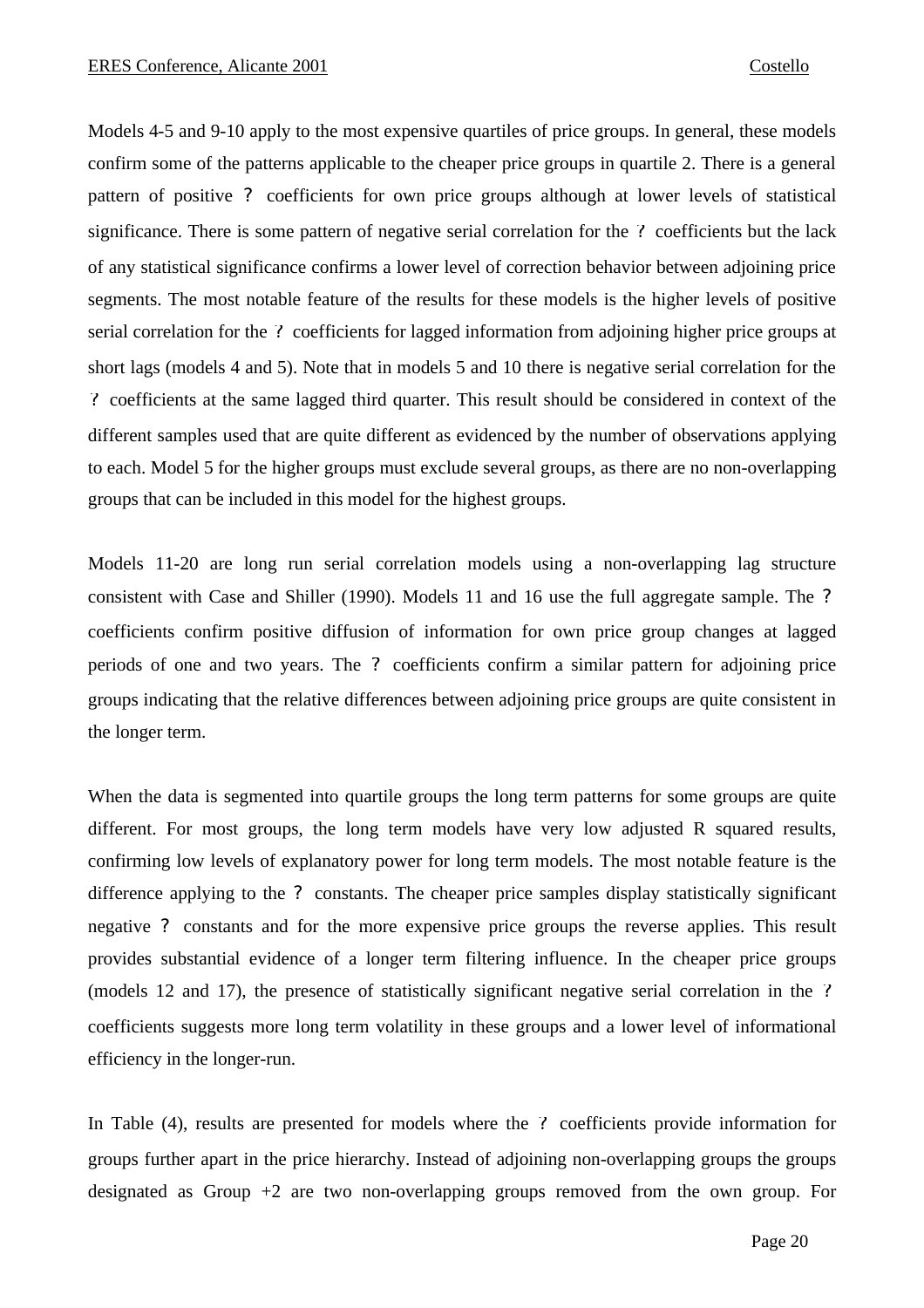Models 4-5 and 9-10 apply to the most expensive quartiles of price groups. In general, these models confirm some of the patterns applicable to the cheaper price groups in quartile 2. There is a general pattern of positive *?* coefficients for own price groups although at lower levels of statistical significance. There is some pattern of negative serial correlation for the *?* coefficients but the lack of any statistical significance confirms a lower level of correction behavior between adjoining price segments. The most notable feature of the results for these models is the higher levels of positive serial correlation for the *?* coefficients for lagged information from adjoining higher price groups at short lags (models 4 and 5). Note that in models 5 and 10 there is negative serial correlation for the *?* coefficients at the same lagged third quarter. This result should be considered in context of the different samples used that are quite different as evidenced by the number of observations applying to each. Model 5 for the higher groups must exclude several groups, as there are no non-overlapping groups that can be included in this model for the highest groups.

Models 11-20 are long run serial correlation models using a non-overlapping lag structure consistent with Case and Shiller (1990). Models 11 and 16 use the full aggregate sample. The *?* coefficients confirm positive diffusion of information for own price group changes at lagged periods of one and two years. The *?* coefficients confirm a similar pattern for adjoining price groups indicating that the relative differences between adjoining price groups are quite consistent in the longer term.

When the data is segmented into quartile groups the long term patterns for some groups are quite different. For most groups, the long term models have very low adjusted R squared results, confirming low levels of explanatory power for long term models. The most notable feature is the difference applying to the *?* constants. The cheaper price samples display statistically significant negative *?* constants and for the more expensive price groups the reverse applies. This result provides substantial evidence of a longer term filtering influence. In the cheaper price groups (models 12 and 17), the presence of statistically significant negative serial correlation in the *?* coefficients suggests more long term volatility in these groups and a lower level of informational efficiency in the longer-run.

In Table (4), results are presented for models where the *?* coefficients provide information for groups further apart in the price hierarchy. Instead of adjoining non-overlapping groups the groups designated as Group +2 are two non-overlapping groups removed from the own group. For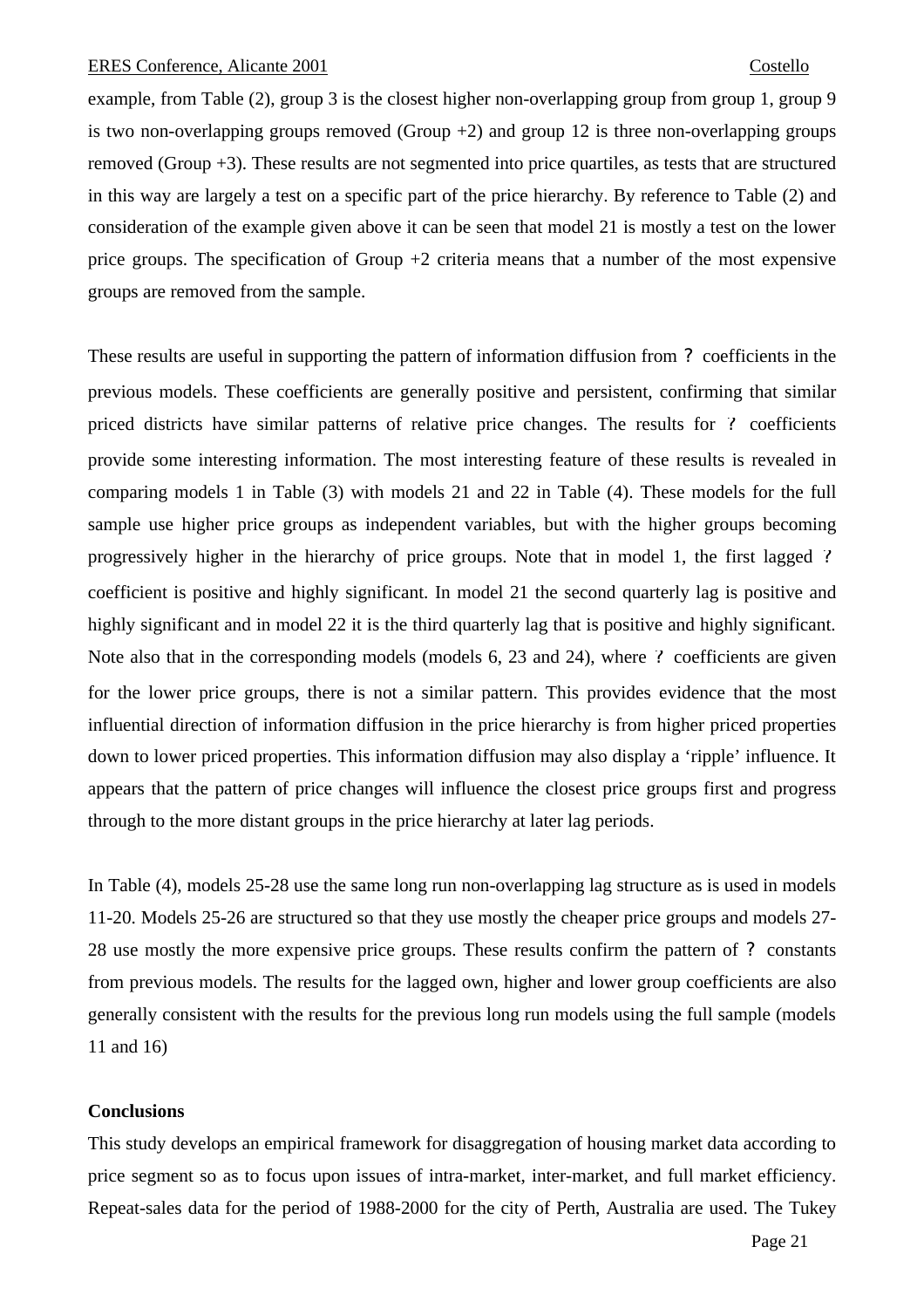example, from Table (2), group 3 is the closest higher non-overlapping group from group 1, group 9 is two non-overlapping groups removed (Group  $+2$ ) and group 12 is three non-overlapping groups removed (Group +3). These results are not segmented into price quartiles, as tests that are structured in this way are largely a test on a specific part of the price hierarchy. By reference to Table (2) and consideration of the example given above it can be seen that model 21 is mostly a test on the lower price groups. The specification of Group  $+2$  criteria means that a number of the most expensive groups are removed from the sample.

These results are useful in supporting the pattern of information diffusion from *?* coefficients in the previous models. These coefficients are generally positive and persistent, confirming that similar priced districts have similar patterns of relative price changes. The results for *?* coefficients provide some interesting information. The most interesting feature of these results is revealed in comparing models 1 in Table (3) with models 21 and 22 in Table (4). These models for the full sample use higher price groups as independent variables, but with the higher groups becoming progressively higher in the hierarchy of price groups. Note that in model 1, the first lagged *?* coefficient is positive and highly significant. In model 21 the second quarterly lag is positive and highly significant and in model 22 it is the third quarterly lag that is positive and highly significant. Note also that in the corresponding models (models 6, 23 and 24), where *?* coefficients are given for the lower price groups, there is not a similar pattern. This provides evidence that the most influential direction of information diffusion in the price hierarchy is from higher priced properties down to lower priced properties. This information diffusion may also display a 'ripple' influence. It appears that the pattern of price changes will influence the closest price groups first and progress through to the more distant groups in the price hierarchy at later lag periods.

In Table (4), models 25-28 use the same long run non-overlapping lag structure as is used in models 11-20. Models 25-26 are structured so that they use mostly the cheaper price groups and models 27- 28 use mostly the more expensive price groups. These results confirm the pattern of *?* constants from previous models. The results for the lagged own, higher and lower group coefficients are also generally consistent with the results for the previous long run models using the full sample (models 11 and 16)

# **Conclusions**

This study develops an empirical framework for disaggregation of housing market data according to price segment so as to focus upon issues of intra-market, inter-market, and full market efficiency. Repeat-sales data for the period of 1988-2000 for the city of Perth, Australia are used. The Tukey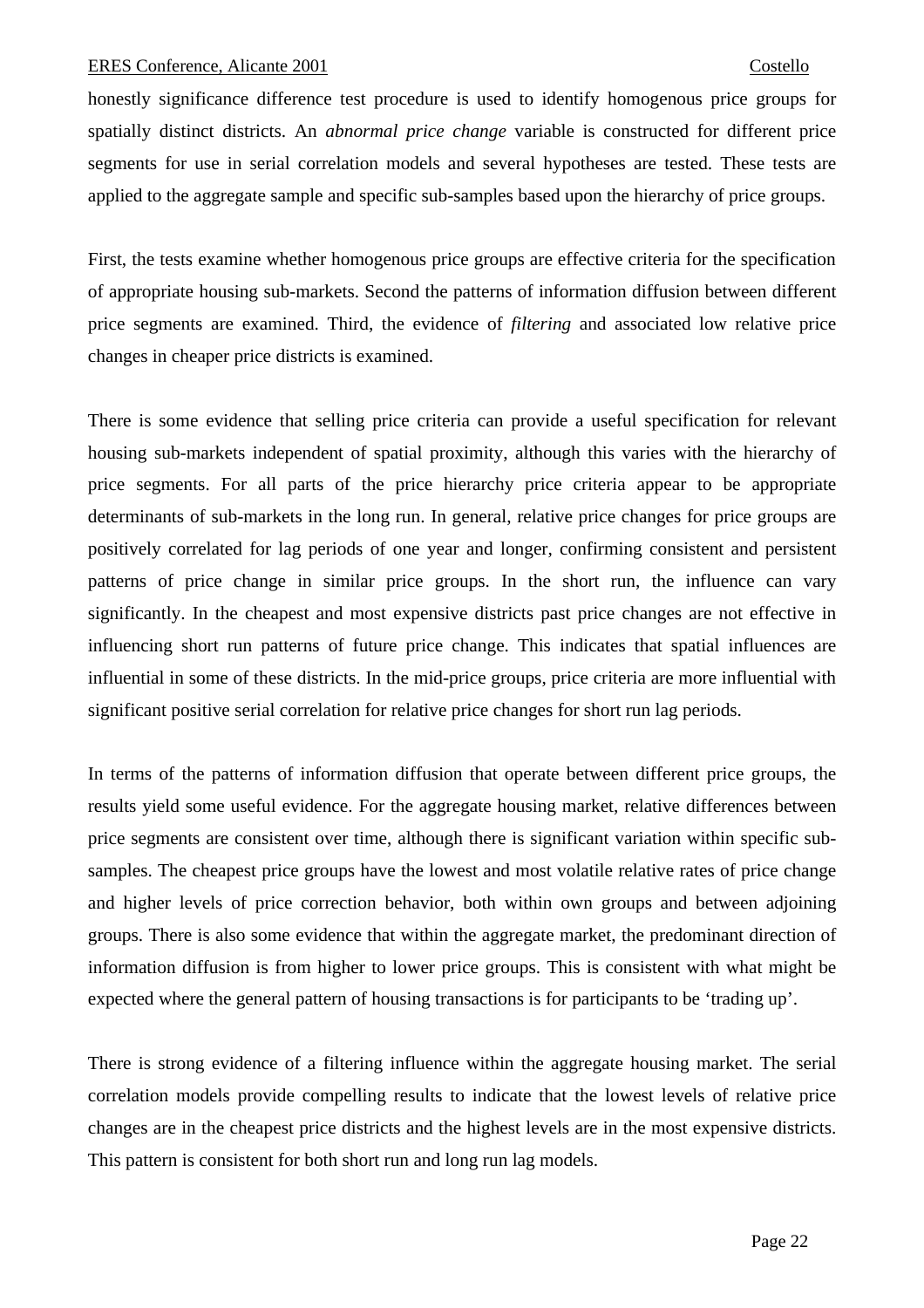honestly significance difference test procedure is used to identify homogenous price groups for spatially distinct districts. An *abnormal price change* variable is constructed for different price segments for use in serial correlation models and several hypotheses are tested. These tests are applied to the aggregate sample and specific sub-samples based upon the hierarchy of price groups.

First, the tests examine whether homogenous price groups are effective criteria for the specification of appropriate housing sub-markets. Second the patterns of information diffusion between different price segments are examined. Third, the evidence of *filtering* and associated low relative price changes in cheaper price districts is examined.

There is some evidence that selling price criteria can provide a useful specification for relevant housing sub-markets independent of spatial proximity, although this varies with the hierarchy of price segments. For all parts of the price hierarchy price criteria appear to be appropriate determinants of sub-markets in the long run. In general, relative price changes for price groups are positively correlated for lag periods of one year and longer, confirming consistent and persistent patterns of price change in similar price groups. In the short run, the influence can vary significantly. In the cheapest and most expensive districts past price changes are not effective in influencing short run patterns of future price change. This indicates that spatial influences are influential in some of these districts. In the mid-price groups, price criteria are more influential with significant positive serial correlation for relative price changes for short run lag periods.

In terms of the patterns of information diffusion that operate between different price groups, the results yield some useful evidence. For the aggregate housing market, relative differences between price segments are consistent over time, although there is significant variation within specific subsamples. The cheapest price groups have the lowest and most volatile relative rates of price change and higher levels of price correction behavior, both within own groups and between adjoining groups. There is also some evidence that within the aggregate market, the predominant direction of information diffusion is from higher to lower price groups. This is consistent with what might be expected where the general pattern of housing transactions is for participants to be 'trading up'.

There is strong evidence of a filtering influence within the aggregate housing market. The serial correlation models provide compelling results to indicate that the lowest levels of relative price changes are in the cheapest price districts and the highest levels are in the most expensive districts. This pattern is consistent for both short run and long run lag models.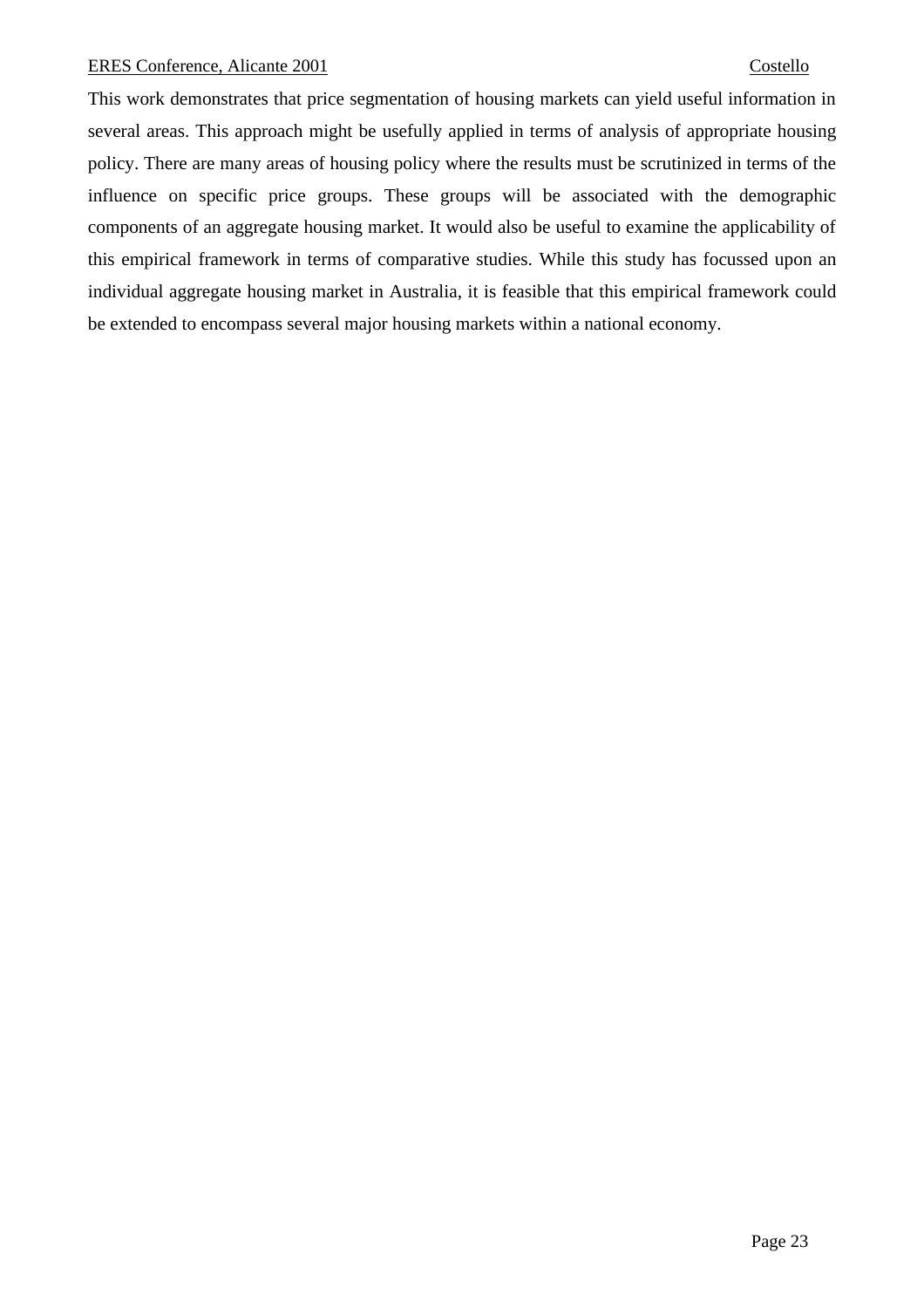This work demonstrates that price segmentation of housing markets can yield useful information in several areas. This approach might be usefully applied in terms of analysis of appropriate housing policy. There are many areas of housing policy where the results must be scrutinized in terms of the influence on specific price groups. These groups will be associated with the demographic components of an aggregate housing market. It would also be useful to examine the applicability of this empirical framework in terms of comparative studies. While this study has focussed upon an individual aggregate housing market in Australia, it is feasible that this empirical framework could be extended to encompass several major housing markets within a national economy.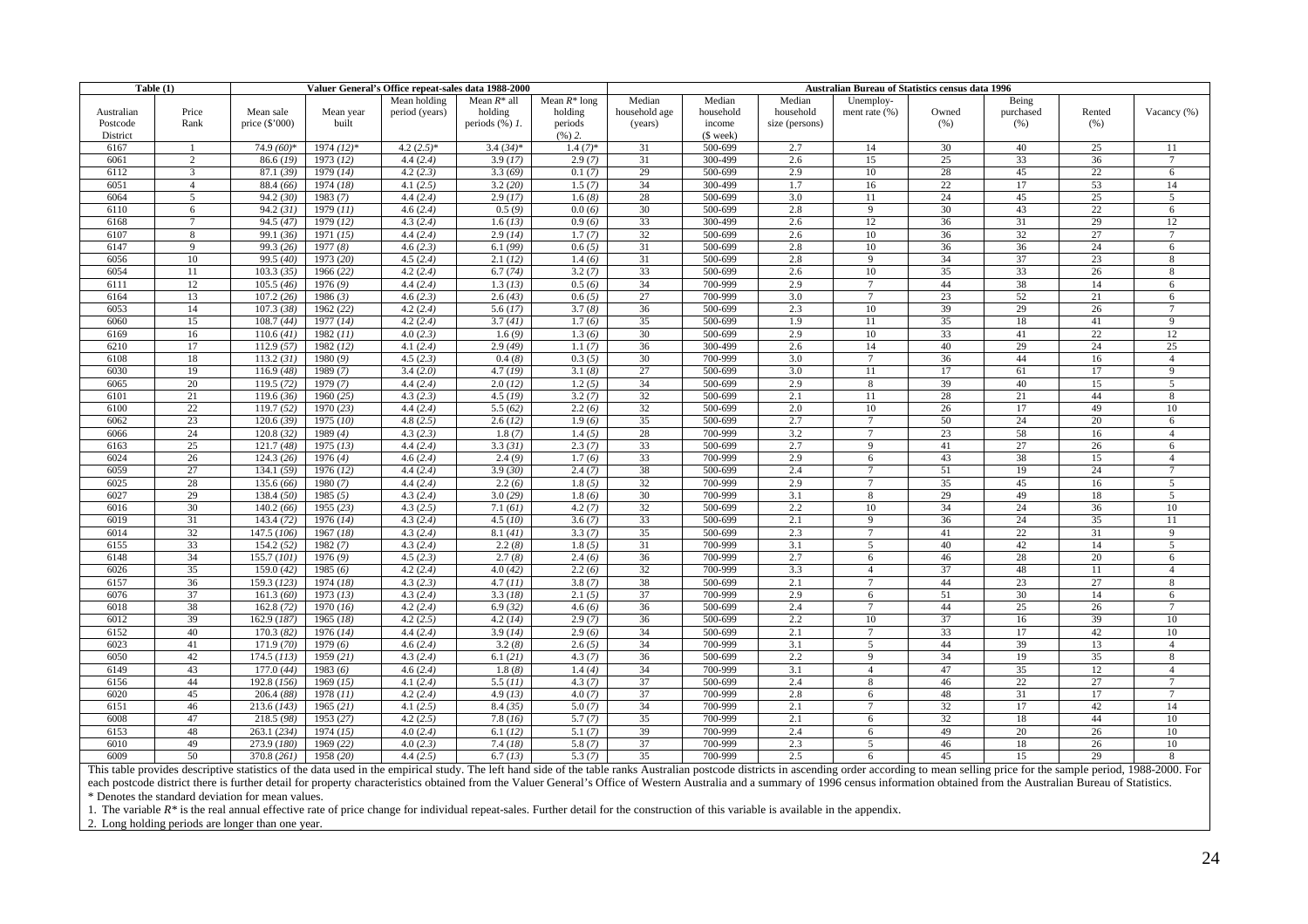| Table $(1)$ |                 | Valuer General's Office repeat-sales data 1988-2000 |              |                |                       |                 | Australian Bureau of Statistics census data 1996 |           |                |                 |       |           |        |                 |
|-------------|-----------------|-----------------------------------------------------|--------------|----------------|-----------------------|-----------------|--------------------------------------------------|-----------|----------------|-----------------|-------|-----------|--------|-----------------|
|             |                 |                                                     |              | Mean holding   | Mean $R^*$ all        | Mean $R^*$ long | Median                                           | Median    | Median         | Unemploy-       |       | Being     |        |                 |
| Australian  | Price           | Mean sale                                           | Mean year    | period (years) | holding               | holding         | household age                                    | household | household      | ment rate (%)   | Owned | purchased | Rented | Vacancy (%)     |
| Postcode    | Rank            | price $(\$'000)$                                    | built        |                | periods $(\%)$ 1.     | periods         | (years)                                          | income    | size (persons) |                 | (% )  | (% )      | (% )   |                 |
| District    |                 |                                                     |              |                |                       | $(96)$ 2.       |                                                  | (\$ week) |                |                 |       |           |        |                 |
| 6167        |                 | 74.9 (60)*                                          | $1974 (12)*$ | $4.2(2.5)*$    | $3.4(34)*$            | $1.4(7)*$       | 31                                               | 500-699   | 2.7            | 14              | 30    | 40        | 25     | 11              |
| 6061        | 2               | 86.6 (19)                                           | 1973(12)     | 4.4(2.4)       | 3.9(17)               | 2.9(7)          | 31                                               | 300-499   | 2.6            | 15              | 25    | 33        | 36     | $7\phantom{.0}$ |
| 6112        | 3               | 87.1(39)                                            | 1979(14)     | 4.2(2.3)       | $\overline{3.3(69)}$  | 0.1(7)          | 29                                               | 500-699   | 2.9            | 10              | 28    | 45        | 22     | 6               |
| 6051        | $\overline{4}$  | 88.4 (66)                                           | 1974(18)     | 4.1(2.5)       | 3.2(20)               | 1.5(7)          | 34                                               | 300-499   | 1.7            | 16              | 22    | 17        | 53     | 14              |
| 6064        | 5               | 94.2 (30)                                           | 1983 (7)     | 4.4(2.4)       | 2.9(17)               | 1.6(8)          | 28                                               | 500-699   | 3.0            | 11              | 24    | 45        | 25     | 5               |
| 6110        | 6               | 94.2(31)                                            | 1979 (11)    | 4.6(2.4)       | 0.5(9)                | 0.0(6)          | 30                                               | 500-699   | 2.8            | 9               | 30    | 43        | 22     | 6               |
| 6168        | $7\overline{ }$ | 94.5 (47)                                           | 1979 (12)    | 4.3(2.4)       | 1.6(13)               | 0.9(6)          | 33                                               | 300-499   | 2.6            | 12              | 36    | 31        | 29     | 12              |
| 6107        | 8               | 99.1 (36)                                           | 1971(15)     | 4.4(2.4)       | 2.9(14)               | 1.7(7)          | 32                                               | 500-699   | 2.6            | 10              | 36    | 32        | 27     | $\tau$          |
| 6147        | $\mathbf{Q}$    | 99.3 (26)                                           | 1977(8)      | 4.6(2.3)       | 6.1(99)               | 0.6(5)          | 31                                               | 500-699   | 2.8            | 10              | 36    | 36        | 24     | 6               |
| 6056        | 10              | 99.5 (40)                                           | 1973 (20)    | 4.5(2.4)       | 2.1(12)               | 1.4(6)          | 31                                               | 500-699   | 2.8            | 9               | 34    | 37        | 23     | 8               |
| 6054        | 11              | 103.3(35)                                           | 1966(22)     | 4.2(2.4)       | 6.7(74)               | 3.2(7)          | 33                                               | 500-699   | 2.6            | 10              | 35    | 33        | 26     | 8               |
| 6111        | 12              | 105.5(46)                                           | 1976(9)      | 4.4(2.4)       | 1.3(13)               | 0.5(6)          | 34                                               | 700-999   | 2.9            | $\overline{7}$  | 44    | 38        | 14     | 6               |
| 6164        | 13              | 107.2(26)                                           | 1986(3)      | 4.6(2.3)       | 2.6(43)               | 0.6(5)          | 27                                               | 700-999   | 3.0            | $7\overline{ }$ | 23    | 52        | 21     | 6               |
| 6053        | 14              | 107.3(38)                                           | 1962 (22)    | 4.2(2.4)       | 5.6(17)               | 3.7(8)          | 36                                               | 500-699   | 2.3            | 10              | 39    | 29        | 26     | $\overline{7}$  |
| 6060        | 15              | 108.7(44)                                           | 1977(14)     | 4.2(2.4)       | 3.7(41)               | 1.7(6)          | 35                                               | 500-699   | 1.9            | $\overline{11}$ | 35    | 18        | 41     | $\overline{9}$  |
| 6169        | 16              | 110.6(41)                                           | 1982 (11)    | 4.0(2.3)       | 1.6(9)                | 1.3(6)          | 30                                               | 500-699   | 2.9            | 10              | 33    | 41        | 22     | 12              |
| 6210        | 17              | 112.9(57)                                           | 1982(12)     | 4.1(2.4)       | 2.9(49)               | 1.1(7)          | 36                                               | 300-499   | 2.6            | 14              | 40    | 29        | 24     | 25              |
| 6108        | 18              | 113.2(31)                                           | 1980(9)      | 4.5(2.3)       | 0.4(8)                | 0.3(5)          | 30                                               | 700-999   | 3.0            | $7\phantom{.0}$ | 36    | 44        | 16     | $\overline{4}$  |
|             | 19              |                                                     |              | 3.4(2.0)       |                       |                 | 27                                               | 500-699   | 3.0            |                 |       |           | 17     |                 |
| 6030        | 20              | 116.9(48)                                           | 1989 (7)     |                | 4.7(19)               | 3.1(8)          |                                                  |           |                | 11              | 17    | 61        |        | 9               |
| 6065        |                 | 119.5(72)                                           | 1979(7)      | 4.4(2.4)       | 2.0(12)               | 1.2(5)          | 34                                               | 500-699   | 2.9            | $\overline{8}$  | 39    | 40        | 15     | $\overline{5}$  |
| 6101        | 21              | 119.6(36)                                           | 1960(25)     | 4.3(2.3)       | 4.5(19)               | 3.2(7)          | 32                                               | 500-699   | 2.1            | 11              | 28    | 21        | 44     | 8               |
| 6100        | 22              | 119.7(52)                                           | 1970 (23)    | 4.4(2.4)       | $\overline{5.5}$ (62) | 2.2(6)          | 32                                               | 500-699   | 2.0            | 10              | 26    | 17        | 49     | 10              |
| 6062        | 23              | 120.6(39)                                           | 1975(10)     | 4.8(2.5)       | 2.6(12)               | 1.9(6)          | 35                                               | 500-699   | 2.7            | $\overline{7}$  | 50    | 24        | 20     | 6               |
| 6066        | 24              | 120.8(32)                                           | 1989(4)      | 4.3(2.3)       | 1.8(7)                | 1.4(5)          | 28                                               | 700-999   | 3.2            | $7\phantom{.0}$ | 23    | 58        | 16     | $\overline{4}$  |
| 6163        | 25              | 121.7(48)                                           | 1975(13)     | 4.4(2.4)       | 3.3(31)               | 2.3(7)          | 33                                               | 500-699   | 2.7            | 9               | 41    | 27        | 26     | 6               |
| 6024        | 26              | 124.3(26)                                           | 1976(4)      | 4.6(2.4)       | 2.4(9)                | 1.7(6)          | 33                                               | 700-999   | 2.9            | 6               | 43    | 38        | 15     | $\overline{4}$  |
| 6059        | 27              | 134.1 (59)                                          | 1976(12)     | 4.4(2.4)       | 3.9(30)               | 2.4(7)          | 38                                               | 500-699   | 2.4            | $7\phantom{.0}$ | 51    | 19        | 24     | $\overline{7}$  |
| 6025        | 28              | 135.6 (66)                                          | 1980(7)      | 4.4(2.4)       | 2.2(6)                | 1.8(5)          | 32                                               | 700-999   | 2.9            | $7\phantom{.0}$ | 35    | 45        | 16     | 5               |
| 6027        | 29              | 138.4(50)                                           | 1985(5)      | 4.3(2.4)       | 3.0(29)               | 1.8(6)          | 30                                               | 700-999   | 3.1            | 8               | 29    | 49        | 18     | 5               |
| 6016        | 30              | 140.2(66)                                           | 1955 (23)    | 4.3(2.5)       | 7.1(61)               | 4.2(7)          | 32                                               | 500-699   | 2.2            | 10              | 34    | 24        | 36     | 10              |
| 6019        | 31              | 143.4 (72)                                          | 1976 (14)    | 4.3(2.4)       | 4.5(10)               | 3.6(7)          | 33                                               | 500-699   | 2.1            | 9               | 36    | 24        | 35     | 11              |
| 6014        | 32              | 147.5(106)                                          | 1967(18)     | 4.3(2.4)       | 8.1(41)               | 3.3(7)          | 35                                               | 500-699   | 2.3            | $\overline{7}$  | 41    | 22        | 31     | $\overline{9}$  |
| 6155        | 33              | 154.2(52)                                           | 1982(7)      | 4.3(2.4)       | 2.2(8)                | 1.8(5)          | 31                                               | 700-999   | 3.1            | $\mathfrak{I}$  | 40    | 42        | 14     | $\overline{5}$  |
| 6148        | 34              | 155.7(101)                                          | 1976(9)      | 4.5(2.3)       | 2.7(8)                | 2.4(6)          | 36                                               | 700-999   | 2.7            | $6\overline{6}$ | 46    | 28        | 20     | $6\overline{6}$ |
| 6026        | 35              | 159.0(42)                                           | 1985(6)      | 4.2(2.4)       | 4.0(42)               | 2.2(6)          | 32                                               | 700-999   | 3.3            | $\overline{4}$  | 37    | 48        | 11     | $\overline{4}$  |
| 6157        | 36              | 159.3 (123)                                         | 1974 (18)    | 4.3(2.3)       | 4.7(11)               | 3.8(7)          | 38                                               | 500-699   | 2.1            | $7\phantom{.0}$ | 44    | 23        | 27     | 8               |
| 6076        | 37              | 161.3(60)                                           | 1973(13)     | 4.3(2.4)       | 3.3(18)               | 2.1(5)          | 37                                               | 700-999   | 2.9            | 6               | 51    | 30        | 14     | 6               |
| 6018        | 38              | 162.8(72)                                           | 1970 (16)    | 4.2(2.4)       | 6.9(32)               | 4.6(6)          | 36                                               | 500-699   | 2.4            | $7\phantom{.0}$ | 44    | 25        | 26     | $\overline{7}$  |
| 6012        | 39              | 162.9 (187)                                         | 1965(18)     | 4.2(2.5)       | 4.2(14)               | 2.9(7)          | 36                                               | 500-699   | 2.2            | 10              | 37    | 16        | 39     | 10              |
| 6152        | 40              | 170.3(82)                                           | 1976(14)     | 4.4(2.4)       | 3.9(14)               | 2.9(6)          | 34                                               | 500-699   | 2.1            | $7\phantom{.0}$ | 33    | 17        | 42     | 10              |
| 6023        | 41              | 171.9(70)                                           | 1979(6)      | 4.6(2.4)       | 3.2(8)                | 2.6(5)          | 34                                               | 700-999   | 3.1            | 5               | 44    | 39        | 13     | $\overline{4}$  |
| 6050        | 42              | 174.5(113)                                          | 1959 (21)    | 4.3(2.4)       | 6.1(21)               | 4.3(7)          | 36                                               | 500-699   | 2.2            | 9               | 34    | 19        | 35     | 8               |
| 6149        | 43              | 177.0(44)                                           | 1983(6)      | 4.6(2.4)       | 1.8(8)                | 1.4(4)          | 34                                               | 700-999   | 3.1            | $\overline{4}$  | 47    | 35        | 12     | $\overline{4}$  |
| 6156        | 44              | 192.8 (156)                                         | 1969 (15)    | 4.1(2.4)       | 5.5(11)               | 4.3(7)          | 37                                               | 500-699   | 2.4            | 8               | 46    | 22        | 27     | $\overline{7}$  |
| 6020        | 45              | 206.4(88)                                           | 1978 (11)    | 4.2(2.4)       | 4.9(13)               | 4.0(7)          | 37                                               | 700-999   | 2.8            | $6\overline{6}$ | 48    | 31        | 17     | $\overline{7}$  |
| 6151        | 46              | 213.6(143)                                          | 1965(21)     | 4.1(2.5)       | 8.4(35)               | 5.0(7)          | 34                                               | 700-999   | 2.1            | $7\phantom{.0}$ | 32    | 17        | 42     | 14              |
| 6008        | 47              | 218.5 (98)                                          | 1953(27)     | 4.2(2.5)       | 7.8(16)               | 5.7(7)          | 35                                               | 700-999   | 2.1            | 6               | 32    | 18        | 44     | 10              |
| 6153        | 48              | 263.1 (234)                                         | 1974 (15)    | 4.0(2.4)       | 6.1(12)               | 5.1(7)          | 39                                               | 700-999   | 2.4            | 6               | 49    | 20        | 26     | 10              |
| 6010        | 49              | 273.9(180)                                          | 1969(22)     | 4.0(2.3)       | $\sqrt{7.4}$ (18)     | 5.8(7)          | 37                                               | 700-999   | 2.3            | $\overline{5}$  | 46    | 18        | 26     | 10              |
| 6009        | 50              | $\overline{370.8} (261)$                            | 1958 (20)    | 4.4(2.5)       | 6.7(13)               | 5.3(7)          | 35                                               | 700-999   | 2.5            | 6               | 45    | 15        | 29     | 8               |

This table provides descriptive statistics of the data used in the empirical study. The left hand side of the table ranks Australian postcode districts in ascending order according to mean selling price for the sample peri each postcode district there is further detail for property characteristics obtained from the Valuer General's Office of Western Australia and a summary of 1996 census information obtained from the Australian Bureau of Sta

\* Denotes the standard deviation for mean values.

1. The variable  $R^*$  is the real annual effective rate of price change for individual repeat-sales. Further detail for the construction of this variable is available in the appendix.

2. Long holding periods are longer than one year.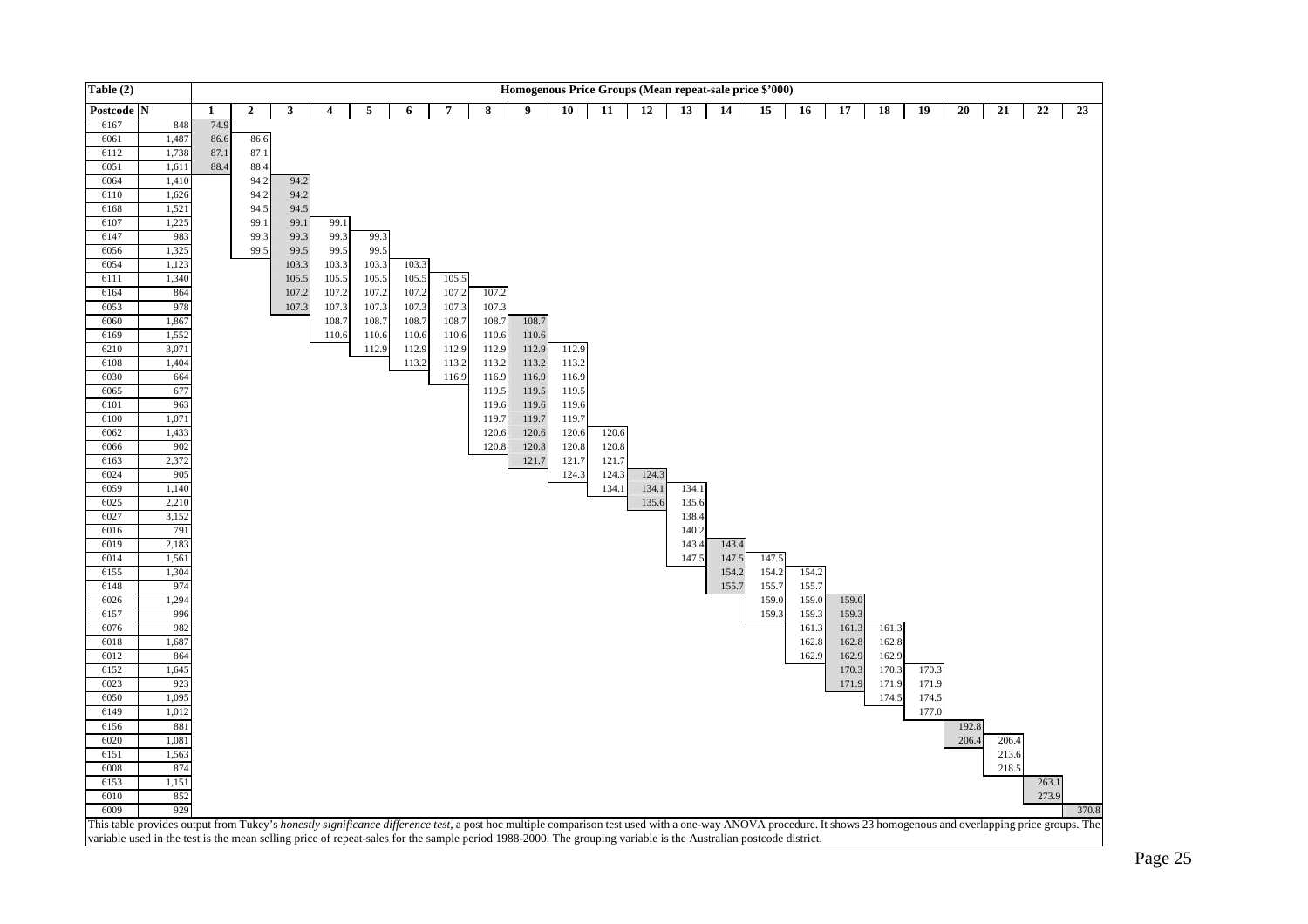

This table provides output from Tukey's *honestly significance difference test*, a post hoc multiple comparison test used with a one-way ANOVA procedure. It shows 23 homogenous and overlapping price groups. The variable used in the test is the mean selling price of repeat-sales for the sample period 1988-2000. The grouping variable is the Australian postcode district.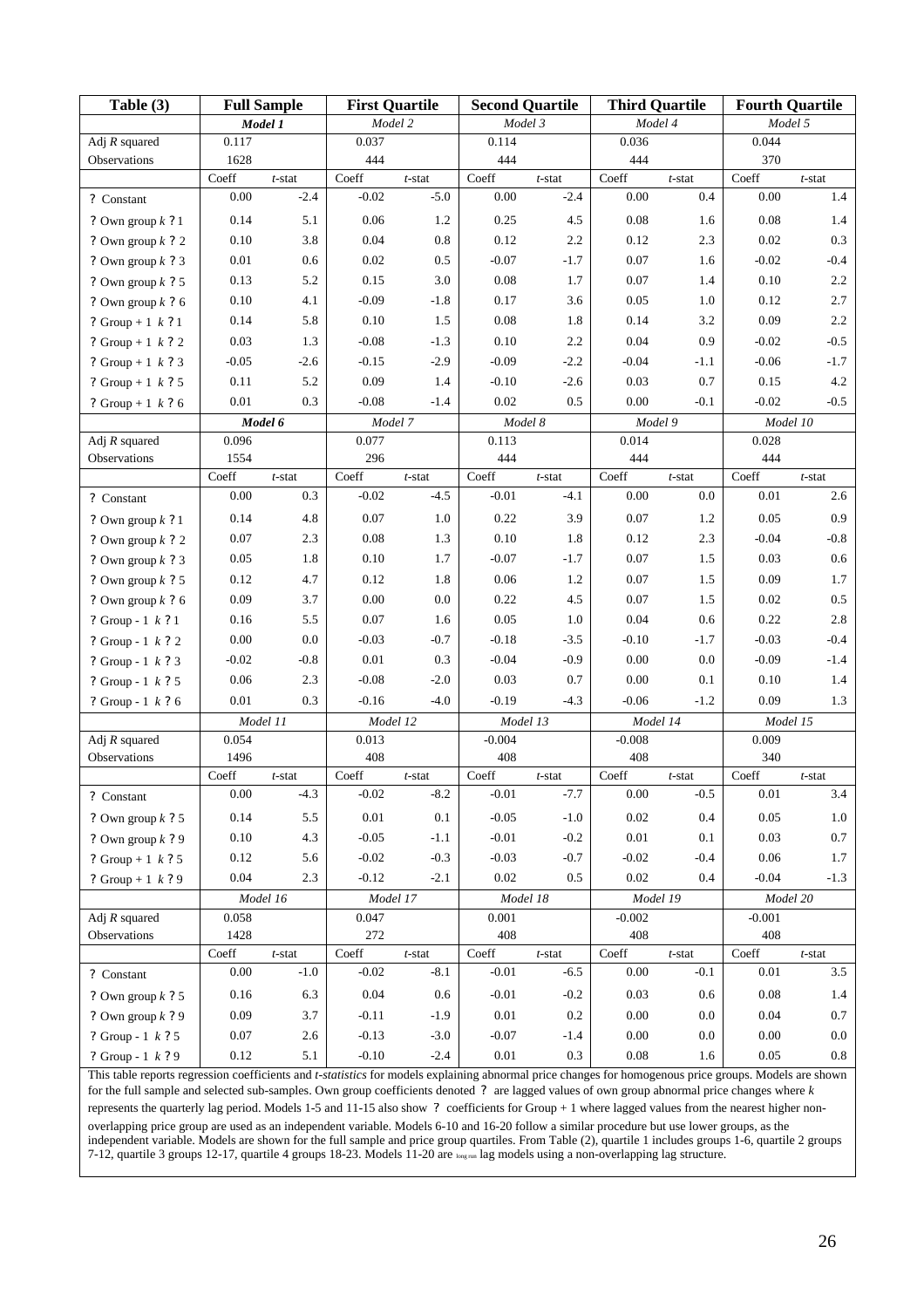| Table (3)                    | <b>Full Sample</b>    |                  | <b>First Quartile</b> |                     | <b>Second Quartile</b> |                     | <b>Third Quartile</b> |                  | <b>Fourth Quartile</b> |                   |  |
|------------------------------|-----------------------|------------------|-----------------------|---------------------|------------------------|---------------------|-----------------------|------------------|------------------------|-------------------|--|
|                              | Model 1               |                  | Model 2               |                     | Model 3                |                     | Model 4               |                  | Model 5                |                   |  |
| Adj $R$ squared              | 0.117                 |                  | 0.037                 |                     | 0.114                  |                     | 0.036                 |                  | 0.044                  |                   |  |
| Observations                 | 1628                  |                  | 444                   |                     | 444                    |                     | 444                   |                  | 370                    |                   |  |
|                              | Coeff                 | $t$ -stat        | Coeff                 | $t$ -stat           | Coeff                  | $t$ -stat           | Coeff                 | $t$ -stat        | Coeff                  | $t$ -stat         |  |
| ? Constant                   | $0.00\,$              | $-2.4$           | $-0.02$               | $-5.0$              | $0.00\,$               | $-2.4$              | 0.00                  | 0.4              | $0.00\,$               | 1.4               |  |
| ? Own group $k$ ? 1          | 0.14                  | 5.1              | $0.06\,$              | 1.2                 | 0.25                   | 4.5                 | 0.08                  | 1.6              | 0.08                   | 1.4               |  |
| ? Own group $k$ ? 2          | $0.10\,$              | 3.8              | $0.04\,$              | $0.8\,$             | 0.12                   | 2.2                 | 0.12                  | 2.3              | 0.02                   | 0.3               |  |
| ? Own group $k$ ? 3          | 0.01                  | 0.6              | $0.02\,$              | 0.5                 | $-0.07$                | $-1.7$              | 0.07                  | 1.6              | $-0.02$                | $-0.4$            |  |
| ? Own group $k$ ? 5          | 0.13                  | 5.2              | 0.15                  | 3.0                 | $0.08\,$               | 1.7                 | $0.07\,$              | 1.4              | 0.10                   | $2.2\,$           |  |
| ? Own group $k$ ? 6          | $0.10\,$              | 4.1              | $-0.09$               | $-1.8$              | 0.17                   | 3.6                 | 0.05                  | 1.0              | 0.12                   | 2.7               |  |
| ? Group + 1 $k$ ? 1          | 0.14                  | 5.8              | $0.10\,$              | 1.5                 | $0.08\,$               | 1.8                 | 0.14                  | 3.2              | 0.09                   | 2.2               |  |
| ? Group + 1 $k$ ? 2          | 0.03                  | 1.3              | $-0.08$               | $-1.3$              | $0.10\,$               | 2.2                 | 0.04                  | 0.9              | $-0.02$                | $-0.5$            |  |
| ? Group + 1 $k$ ? 3          | $-0.05$               | $-2.6$           | $-0.15$               | $-2.9$              | $-0.09$                | $-2.2$              | $-0.04$               | $-1.1$           | $-0.06$                | $-1.7$            |  |
| ? Group + 1 $k$ ? 5          | 0.11                  | 5.2              | 0.09                  | 1.4                 | $-0.10$                | $-2.6$              | 0.03                  | 0.7              | 0.15                   | 4.2               |  |
| ? Group + 1 $k$ ? 6          | $0.01\,$              | 0.3              | $-0.08$               | $-1.4$              | 0.02                   | $0.5\,$             | $0.00\,$              | $-0.1$           | $-0.02$                | $-0.5$            |  |
|                              |                       | Model 6          | Model 7               |                     | Model 8                |                     | Model 9               |                  | Model 10               |                   |  |
| Adj $R$ squared              | 0.096                 |                  | 0.077                 |                     | 0.113                  |                     | 0.014                 |                  | 0.028                  |                   |  |
| Observations                 | 1554<br>Coeff         |                  | 296<br>Coeff          |                     | 444<br>Coeff           |                     | 444<br>Coeff          |                  | 444<br>Coeff           |                   |  |
|                              | 0.00                  | $t$ -stat<br>0.3 | $-0.02$               | $t$ -stat<br>$-4.5$ | $-0.01$                | $t$ -stat<br>$-4.1$ | 0.00                  | $t$ -stat<br>0.0 | 0.01                   | $t$ -stat<br>2.6  |  |
| ? Constant                   |                       |                  |                       |                     |                        |                     |                       |                  |                        |                   |  |
| ? Own group $k$ ? 1          | 0.14                  | 4.8              | 0.07                  | 1.0                 | 0.22                   | 3.9                 | 0.07                  | 1.2              | 0.05                   | 0.9               |  |
| ? Own group $k$ ? 2          | $0.07\,$              | 2.3              | $0.08\,$              | 1.3                 | 0.10                   | 1.8                 | 0.12                  | 2.3              | $-0.04$                | $-0.8$            |  |
| ? Own group $k$ ? 3          | 0.05                  | 1.8              | 0.10                  | 1.7                 | $-0.07$                | $-1.7$              | 0.07                  | 1.5              | 0.03                   | 0.6               |  |
| ? Own group $k$ ? 5          | 0.12                  | 4.7              | 0.12                  | 1.8                 | $0.06\,$               | 1.2                 | 0.07                  | 1.5              | 0.09                   | 1.7               |  |
| ? Own group $k$ ? 6          | 0.09                  | 3.7              | $0.00\,$              | 0.0                 | 0.22                   | $4.5\,$             | $0.07\,$              | 1.5              | 0.02                   | 0.5               |  |
| ? Group - $1 \; k \; ? \; 1$ | 0.16<br>0.00          | 5.5              | 0.07<br>$-0.03$       | 1.6                 | 0.05<br>$-0.18$        | 1.0                 | 0.04                  | 0.6              | 0.22<br>$-0.03$        | $2.8\,$<br>$-0.4$ |  |
| ? Group - $1 \; k \; ? \; 2$ |                       | 0.0              |                       | $-0.7$              |                        | $-3.5$<br>$-0.9$    | $-0.10$               | $-1.7$<br>0.0    |                        |                   |  |
| ? Group - $1 \; k \; ? \; 3$ | $-0.02$<br>0.06       | $-0.8$<br>2.3    | 0.01<br>$-0.08$       | 0.3<br>$-2.0$       | $-0.04$<br>0.03        | 0.7                 | 0.00<br>0.00          | 0.1              | $-0.09$<br>0.10        | $-1.4$<br>1.4     |  |
| ? Group - 1 k ? 5            | 0.01                  | 0.3              | $-0.16$               | $-4.0$              | $-0.19$                | $-4.3$              | $-0.06$               | $-1.2$           | 0.09                   | 1.3               |  |
| ? Group - $1 \; k \; ? \; 6$ | Model 11              |                  | Model 12              |                     | Model 13               |                     | Model 14              |                  | Model 15               |                   |  |
| Adj $R$ squared              | 0.054                 |                  | 0.013                 |                     | $-0.004$               |                     | $-0.008$              |                  | 0.009                  |                   |  |
| Observations                 | 1496                  |                  | 408                   |                     | 408                    |                     | 408                   |                  | 340                    |                   |  |
|                              | Coeff                 | $t$ -stat        | Coeff                 | $t$ -stat           | Coeff                  | $t$ -stat           | Coeff                 | $t$ -stat        | Coeff                  | $t$ -stat         |  |
| ? Constant                   | 0.00                  | $-4.3$           | $-0.02$               | $-8.2$              | $-0.01$                | $-7.7$              | 0.00                  | $-0.5$           | 0.01                   | 3.4               |  |
| ? Own group $k$ ? 5          | 0.14                  | $5.5\,$          | $0.01\,$              | $0.1\,$             | $-0.05$                | $-1.0$              | $0.02\,$              | 0.4              | 0.05                   | $1.0\,$           |  |
| ? Own group $k$ ? 9          | $0.10\,$              | 4.3              | $-0.05$               | $-1.1$              | $-0.01$                | $-0.2$              | $0.01\,$              | 0.1              | 0.03                   | 0.7               |  |
| ? Group + 1 $k$ ? 5          | 0.12                  | 5.6              | $-0.02$               | $-0.3$              | $-0.03$                | $-0.7$              | $-0.02$               | $-0.4$           | $0.06\,$               | 1.7               |  |
| ? Group + 1 $k$ ? 9          | $0.04\,$              | 2.3              | $-0.12$               | $-2.1$              | $0.02\,$               | 0.5                 | $0.02\,$              | 0.4              | $-0.04$                | $-1.3$            |  |
|                              | $\overline{Model~16}$ |                  | Model 17              |                     | Model 18               |                     | Model 19              |                  | Model 20               |                   |  |
| Adj $R$ squared              | 0.058                 |                  | 0.047                 |                     | 0.001                  |                     | $-0.002$              |                  | $-0.001$               |                   |  |
| Observations                 | 1428                  |                  | 272                   |                     | 408                    |                     | 408                   |                  | 408                    |                   |  |
|                              | Coeff                 | $t\text{-stat}$  | Coeff                 | $t$ -stat           | Coeff                  | $t\text{-stat}$     | Coeff                 | $t$ -stat        | Coeff                  | $t$ -stat         |  |
| ? Constant                   | $0.00\,$              | $-1.0$           | $-0.02$               | $-8.1$              | $-0.01$                | $-6.5$              | $0.00\,$              | $-0.1$           | $0.01\,$               | 3.5               |  |
| ? Own group $k$ ? 5          | 0.16                  | 6.3              | $0.04\,$              | 0.6                 | $-0.01$                | $-0.2$              | 0.03                  | 0.6              | 0.08                   | 1.4               |  |
| ? Own group $k$ ? 9          | 0.09                  | $3.7\,$          | $-0.11$               | $-1.9$              | $0.01\,$               | 0.2                 | $0.00\,$              | 0.0              | $0.04\,$               | 0.7               |  |
| ? Group - 1 k ? 5            | $0.07\,$              | $2.6$            | $-0.13$               | $-3.0$              | $-0.07$                | $-1.4$              | $0.00\,$              | 0.0              | $0.00\,$               | $0.0\,$           |  |
| ? Group - 1 k ? 9            | $0.12\,$              | 5.1              | $-0.10$               | $-2.4$              | $0.01\,$               | 0.3                 | $0.08\,$              | 1.6              | $0.05\,$               | $0.8\,$           |  |

This table reports regression coefficients and *t-statistics* for models explaining abnormal price changes for homogenous price groups. Models are shown for the full sample and selected sub-samples. Own group coefficients denoted *?* are lagged values of own group abnormal price changes where *k* represents the quarterly lag period. Models 1-5 and 11-15 also show *?* coefficients for Group + 1 where lagged values from the nearest higher nonoverlapping price group are used as an independent variable. Models 6-10 and 16-20 follow a similar procedure but use lower groups, as the independent variable. Models are shown for the full sample and price group quartiles. From Table (2), quartile 1 includes groups 1-6, quartile 2 groups 7-12, quartile 3 groups 12-17, quartile 4 groups 18-23. Models 11-20 are long run lag models using a non-overlapping lag structure.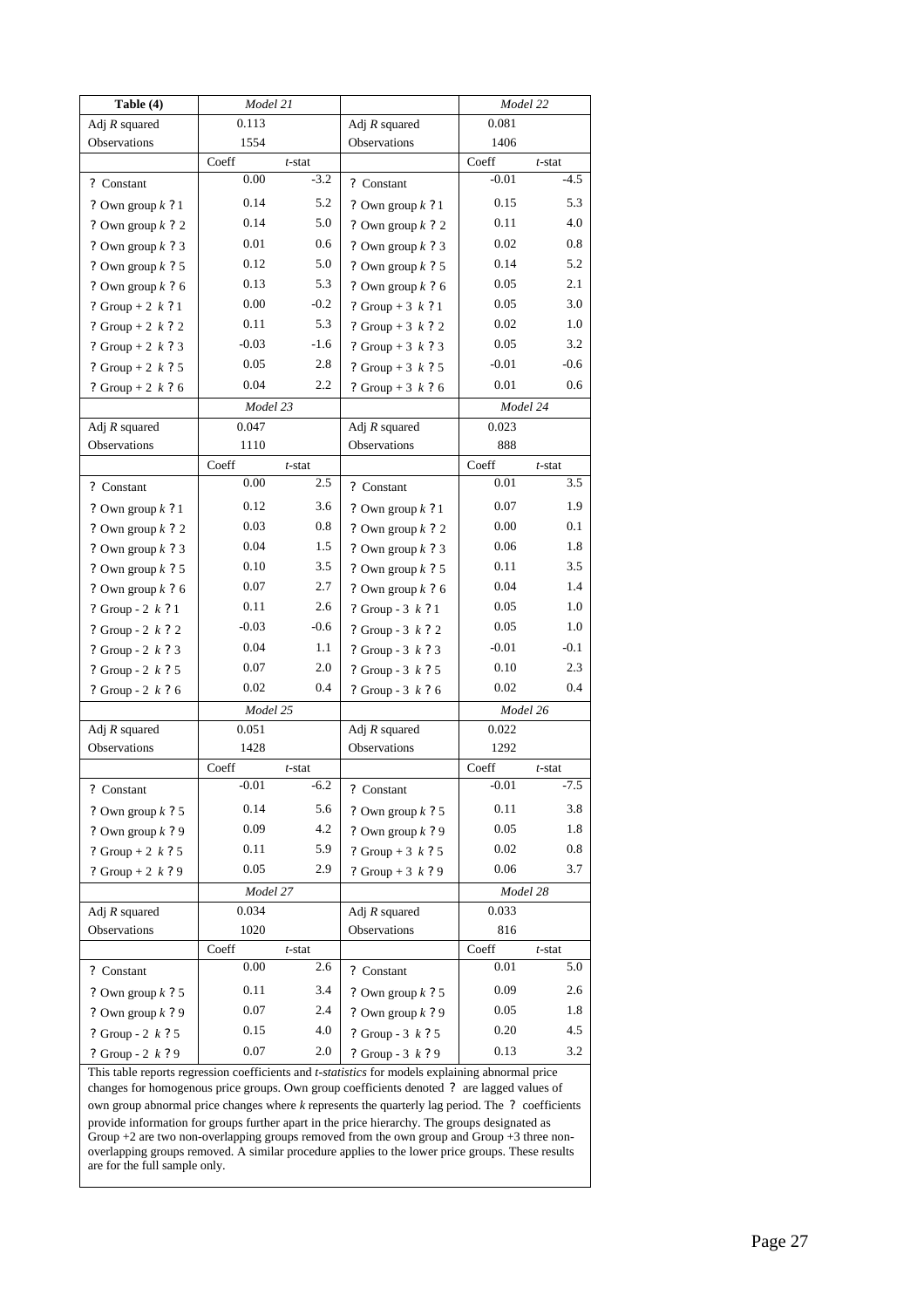| Table (4)           | Model 21 |           |                     | Model 22 |           |  |
|---------------------|----------|-----------|---------------------|----------|-----------|--|
| Adj $R$ squared     | 0.113    |           | Adj $R$ squared     | 0.081    |           |  |
| Observations        | 1554     |           | Observations        | 1406     |           |  |
|                     | Coeff    | $t$ -stat |                     | Coeff    | $t$ -stat |  |
| ? Constant          | 0.00     | $-3.2$    | ? Constant          | $-0.01$  | $-4.5$    |  |
| ? Own group $k$ ? 1 | 0.14     | 5.2       | ? Own group $k$ ? 1 | 0.15     | 5.3       |  |
| ? Own group $k$ ? 2 | 0.14     | 5.0       | ? Own group $k$ ? 2 | 0.11     | 4.0       |  |
| ? Own group $k$ ? 3 | 0.01     | 0.6       | ? Own group $k$ ? 3 | 0.02     | 0.8       |  |
| ? Own group $k$ ? 5 | 0.12     | 5.0       | ? Own group $k$ ? 5 | 0.14     | 5.2       |  |
| ? Own group $k$ ? 6 | 0.13     | 5.3       | ? Own group $k$ ? 6 | 0.05     | 2.1       |  |
| ? Group + 2 $k$ ? 1 | 0.00     | $-0.2$    | ? Group + 3 $k$ ? 1 | 0.05     | 3.0       |  |
| ? Group + 2 $k$ ? 2 | 0.11     | 5.3       | ? Group + 3 $k$ ? 2 | 0.02     | 1.0       |  |
| ? Group + 2 $k$ ? 3 | $-0.03$  | $-1.6$    | ? Group + 3 $k$ ? 3 | 0.05     | 3.2       |  |
| ? Group + 2 $k$ ? 5 | 0.05     | 2.8       | ? Group + 3 $k$ ? 5 | $-0.01$  | $-0.6$    |  |
| ? Group + 2 $k$ ? 6 | 0.04     | 2.2       | ? Group + 3 $k$ ? 6 | 0.01     | 0.6       |  |
|                     | Model 23 |           |                     | Model 24 |           |  |
| Adj $R$ squared     | 0.047    |           | Adj $R$ squared     | 0.023    |           |  |
| Observations        | 1110     |           | Observations        | 888      |           |  |
|                     | Coeff    | $t$ -stat |                     | Coeff    | $t$ -stat |  |
| ? Constant          | 0.00     | 2.5       | ? Constant          | 0.01     | 3.5       |  |
| ? Own group $k$ ? 1 | 0.12     | 3.6       | ? Own group $k$ ? 1 | 0.07     | 1.9       |  |
| ? Own group $k$ ? 2 | 0.03     | 0.8       | ? Own group $k$ ? 2 | 0.00     | 0.1       |  |
| ? Own group $k$ ? 3 | 0.04     | 1.5       | ? Own group $k$ ? 3 | 0.06     | 1.8       |  |
| ? Own group $k$ ? 5 | 0.10     | 3.5       | ? Own group $k$ ? 5 | 0.11     | 3.5       |  |
| ? Own group $k$ ? 6 | 0.07     | 2.7       | ? Own group $k$ ? 6 | 0.04     | 1.4       |  |
| ? Group - 2 $k$ ? 1 | 0.11     | 2.6       | ? Group - $3 k ? 1$ | 0.05     | 1.0       |  |
| ? Group - 2 k ? 2   | $-0.03$  | $-0.6$    | ? Group - 3 $k$ ? 2 | 0.05     | 1.0       |  |
| ? Group - 2 $k$ ? 3 | 0.04     | 1.1       | ? Group - $3 k ? 3$ | $-0.01$  | $-0.1$    |  |
| ? Group - 2 k ? 5   | 0.07     | 2.0       | ? Group - $3 k ? 5$ | 0.10     | 2.3       |  |
| ? Group - 2 $k$ ? 6 | 0.02     | 0.4       | ? Group - $3 k ? 6$ | 0.02     | 0.4       |  |
|                     | Model 25 |           |                     | Model 26 |           |  |
| Adj $R$ squared     | 0.051    |           | Adj $R$ squared     | 0.022    |           |  |
| Observations        | 1428     |           | Observations        | 1292     |           |  |
|                     | Coeff    | $t$ -stat |                     | Coeff    | t-stat    |  |
| ? Constant          | $-0.01$  | $-6.2$    | ? Constant          | $-0.01$  | -7.5      |  |
| ? Own group $k$ ? 5 | 0.14     | 5.6       | ? Own group $k$ ? 5 | 0.11     | 3.8       |  |
| ? Own group $k$ ? 9 | 0.09     | 4.2       | ? Own group $k$ ? 9 | 0.05     | 1.8       |  |
| ? Group + 2 $k$ ? 5 | 0.11     | 5.9       | ? Group + 3 $k$ ? 5 | 0.02     | $0.8\,$   |  |
| ? Group + 2 $k$ ? 9 | 0.05     | 2.9       | ? Group + 3 $k$ ? 9 | 0.06     | 3.7       |  |
|                     | Model 27 |           |                     | Model 28 |           |  |
| Adj $R$ squared     | 0.034    |           | Adj $R$ squared     | 0.033    |           |  |
| Observations        | 1020     |           | Observations        | 816      |           |  |
|                     | Coeff    | $t$ -stat |                     | Coeff    | $t$ -stat |  |
| ? Constant          | 0.00     | 2.6       | ? Constant          | 0.01     | 5.0       |  |
| ? Own group $k$ ? 5 | 0.11     | 3.4       | ? Own group $k$ ? 5 | 0.09     | 2.6       |  |
| ? Own group $k$ ? 9 | $0.07\,$ | 2.4       | ? Own group $k$ ? 9 | 0.05     | 1.8       |  |
| ? Group - 2 $k$ ? 5 | 0.15     | 4.0       | ? Group - $3 k ? 5$ | 0.20     | 4.5       |  |
| ? Group - 2 $k$ ? 9 | 0.07     | $2.0\,$   | ? Group - 3 k ? 9   | 0.13     | 3.2       |  |

This table reports regression coefficients and *t-statistics* for models explaining abnormal price changes for homogenous price groups. Own group coefficients denoted *?* are lagged values of own group abnormal price changes where *k* represents the quarterly lag period. The *?* coefficients provide information for groups further apart in the price hierarchy. The groups designated as Group +2 are two non-overlapping groups removed from the own group and Group +3 three nonoverlapping groups removed. A similar procedure applies to the lower price groups. These results are for the full sample only.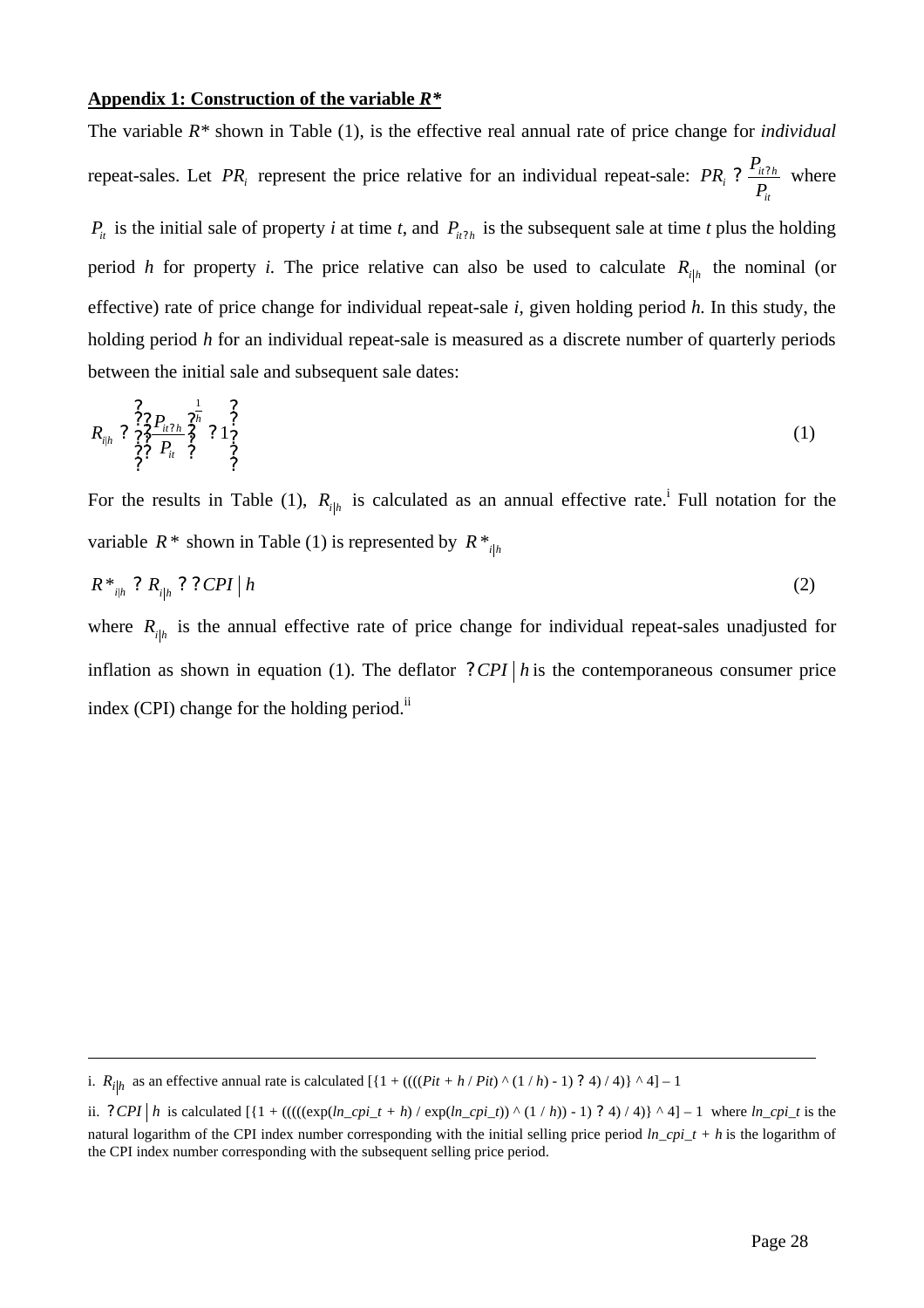# **Appendix 1: Construction of the variable** *R\**

The variable *R\** shown in Table (1), is the effective real annual rate of price change for *individual*  repeat-sales. Let PR<sub>*i*</sub> represent the price relative for an individual repeat-sale: PR<sub>*i*</sub> ?  $\frac{I_{ii2h}}{P_{ii}}$ *it*  $PR_i$  ?  $\frac{P_{ii?h}}{P}$  where  $P_i$  is the initial sale of property *i* at time *t*, and  $P_{i\ell}\gamma_h$  is the subsequent sale at time *t* plus the holding period *h* for property *i*. The price relative can also be used to calculate  $R_{i|h}$  the nominal (or effective) rate of price change for individual repeat-sale *i,* given holding period *h.* In this study, the holding period *h* for an individual repeat-sale is measured as a discrete number of quarterly periods between the initial sale and subsequent sale dates:

$$
R_{ijk} \begin{array}{c} \stackrel{?}{2} ? \stackrel{?}{2} P_{ii} ? \stackrel{?}{2} \\ \stackrel{?}{2} ? \stackrel{?}{2} P_{ii} \stackrel{?}{2} \\ \stackrel{?}{2} ? \end{array} \begin{array}{c} ? \\ 1 \stackrel{?}{2} \\ ? \end{array} \tag{1}
$$

For the results in Table (1),  $R_{i|h}$  is calculated as an annual effective rate.<sup>i</sup> Full notation for the variable  $R^*$  shown in Table (1) is represented by  $R^*_{i|h}$ 

$$
R^*_{i|h} ? R_{i|h} ? ? CPI | h \tag{2}
$$

where  $R_{i|h}$  is the annual effective rate of price change for individual repeat-sales unadjusted for inflation as shown in equation (1). The deflator  $?CPI|h$  is the contemporaneous consumer price index (CPI) change for the holding period.<sup>ii</sup>

i.  $R_{i|h}$  as an effective annual rate is calculated  $[\{1 + ((((Pit + h / Pit) \wedge (1/h) - 1) ? 4) / 4)\} \wedge 4] - 1$ 

ii.  $?CPI | h$  is calculated  $[{1 + ((((\exp(h_cpi_t + h) / \exp(h_cpi_t))) \land (1/h)) - 1) ? 4) / 4}] \land 4] - 1$  where  $ln_cpi_t$  is the natural logarithm of the CPI index number corresponding with the initial selling price period *ln cpi*  $t + h$  is the logarithm of the CPI index number corresponding with the subsequent selling price period.